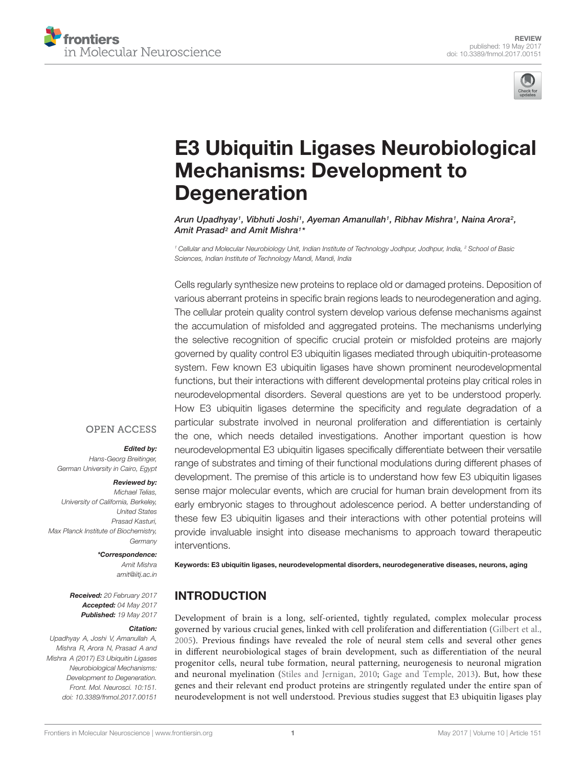



# E3 Ubiquitin Ligases Neurobiological Mechanisms: Development to **Degeneration**

Arun Upadhyay†, Vibhuti Joshi†, Ayeman Amanullah†, Ribhav Mishra†, Naina Arora<del>?</del>, Amit Prasad² and Amit Mishra1\*

*<sup>1</sup> Cellular and Molecular Neurobiology Unit, Indian Institute of Technology Jodhpur, Jodhpur, India, <sup>2</sup> School of Basic Sciences, Indian Institute of Technology Mandi, Mandi, India*

Cells regularly synthesize new proteins to replace old or damaged proteins. Deposition of various aberrant proteins in specific brain regions leads to neurodegeneration and aging. The cellular protein quality control system develop various defense mechanisms against the accumulation of misfolded and aggregated proteins. The mechanisms underlying the selective recognition of specific crucial protein or misfolded proteins are majorly governed by quality control E3 ubiquitin ligases mediated through ubiquitin-proteasome system. Few known E3 ubiquitin ligases have shown prominent neurodevelopmental functions, but their interactions with different developmental proteins play critical roles in neurodevelopmental disorders. Several questions are yet to be understood properly. How E3 ubiquitin ligases determine the specificity and regulate degradation of a particular substrate involved in neuronal proliferation and differentiation is certainly the one, which needs detailed investigations. Another important question is how neurodevelopmental E3 ubiquitin ligases specifically differentiate between their versatile range of substrates and timing of their functional modulations during different phases of development. The premise of this article is to understand how few E3 ubiquitin ligases sense major molecular events, which are crucial for human brain development from its early embryonic stages to throughout adolescence period. A better understanding of these few E3 ubiquitin ligases and their interactions with other potential proteins will provide invaluable insight into disease mechanisms to approach toward therapeutic interventions.

#### **OPEN ACCESS**

#### Edited by:

*Hans-Georg Breitinger, German University in Cairo, Egypt*

#### Reviewed by:

*Michael Telias, University of California, Berkeley, United States Prasad Kasturi, Max Planck Institute of Biochemistry, Germany*

#### \*Correspondence:

*Amit Mishra amit@iitj.ac.in*

Received: *20 February 2017* Accepted: *04 May 2017* Published: *19 May 2017*

#### Citation:

*Upadhyay A, Joshi V, Amanullah A, Mishra R, Arora N, Prasad A and Mishra A (2017) E3 Ubiquitin Ligases Neurobiological Mechanisms: Development to Degeneration. Front. Mol. Neurosci. 10:151. doi: 10.3389/fnmol.2017.00151*

Keywords: E3 ubiquitin ligases, neurodevelopmental disorders, neurodegenerative diseases, neurons, aging

#### INTRODUCTION

Development of brain is a long, self-oriented, tightly regulated, complex molecular process governed by various crucial genes, linked with cell proliferation and differentiation (Gilbert et al., 2005). Previous findings have revealed the role of neural stem cells and several other genes in different neurobiological stages of brain development, such as differentiation of the neural progenitor cells, neural tube formation, neural patterning, neurogenesis to neuronal migration and neuronal myelination (Stiles and Jernigan, 2010; Gage and Temple, 2013). But, how these genes and their relevant end product proteins are stringently regulated under the entire span of neurodevelopment is not well understood. Previous studies suggest that E3 ubiquitin ligases play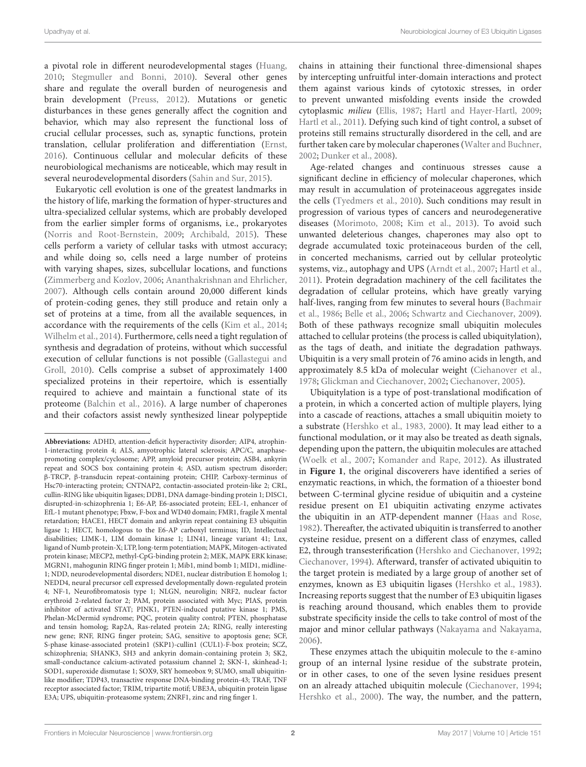a pivotal role in different neurodevelopmental stages (Huang, 2010; Stegmuller and Bonni, 2010). Several other genes share and regulate the overall burden of neurogenesis and brain development (Preuss, 2012). Mutations or genetic disturbances in these genes generally affect the cognition and behavior, which may also represent the functional loss of crucial cellular processes, such as, synaptic functions, protein translation, cellular proliferation and differentiation (Ernst, 2016). Continuous cellular and molecular deficits of these neurobiological mechanisms are noticeable, which may result in several neurodevelopmental disorders (Sahin and Sur, 2015).

Eukaryotic cell evolution is one of the greatest landmarks in the history of life, marking the formation of hyper-structures and ultra-specialized cellular systems, which are probably developed from the earlier simpler forms of organisms, i.e., prokaryotes (Norris and Root-Bernstein, 2009; Archibald, 2015). These cells perform a variety of cellular tasks with utmost accuracy; and while doing so, cells need a large number of proteins with varying shapes, sizes, subcellular locations, and functions (Zimmerberg and Kozlov, 2006; Ananthakrishnan and Ehrlicher, 2007). Although cells contain around 20,000 different kinds of protein-coding genes, they still produce and retain only a set of proteins at a time, from all the available sequences, in accordance with the requirements of the cells (Kim et al., 2014; Wilhelm et al., 2014). Furthermore, cells need a tight regulation of synthesis and degradation of proteins, without which successful execution of cellular functions is not possible (Gallastegui and Groll, 2010). Cells comprise a subset of approximately 1400 specialized proteins in their repertoire, which is essentially required to achieve and maintain a functional state of its proteome (Balchin et al., 2016). A large number of chaperones and their cofactors assist newly synthesized linear polypeptide

chains in attaining their functional three-dimensional shapes by intercepting unfruitful inter-domain interactions and protect them against various kinds of cytotoxic stresses, in order to prevent unwanted misfolding events inside the crowded cytoplasmic milieu (Ellis, 1987; Hartl and Hayer-Hartl, 2009; Hartl et al., 2011). Defying such kind of tight control, a subset of proteins still remains structurally disordered in the cell, and are further taken care by molecular chaperones (Walter and Buchner, 2002; Dunker et al., 2008).

Age-related changes and continuous stresses cause a significant decline in efficiency of molecular chaperones, which may result in accumulation of proteinaceous aggregates inside the cells (Tyedmers et al., 2010). Such conditions may result in progression of various types of cancers and neurodegenerative diseases (Morimoto, 2008; Kim et al., 2013). To avoid such unwanted deleterious changes, chaperones may also opt to degrade accumulated toxic proteinaceous burden of the cell, in concerted mechanisms, carried out by cellular proteolytic systems, viz., autophagy and UPS (Arndt et al., 2007; Hartl et al., 2011). Protein degradation machinery of the cell facilitates the degradation of cellular proteins, which have greatly varying half-lives, ranging from few minutes to several hours (Bachmair et al., 1986; Belle et al., 2006; Schwartz and Ciechanover, 2009). Both of these pathways recognize small ubiquitin molecules attached to cellular proteins (the process is called ubiquitylation), as the tags of death, and initiate the degradation pathways. Ubiquitin is a very small protein of 76 amino acids in length, and approximately 8.5 kDa of molecular weight (Ciehanover et al., 1978; Glickman and Ciechanover, 2002; Ciechanover, 2005).

Ubiquitylation is a type of post-translational modification of a protein, in which a concerted action of multiple players, lying into a cascade of reactions, attaches a small ubiquitin moiety to a substrate (Hershko et al., 1983, 2000). It may lead either to a functional modulation, or it may also be treated as death signals, depending upon the pattern, the ubiquitin molecules are attached (Woelk et al., 2007; Komander and Rape, 2012). As illustrated in **Figure 1**, the original discoverers have identified a series of enzymatic reactions, in which, the formation of a thioester bond between C-terminal glycine residue of ubiquitin and a cysteine residue present on E1 ubiquitin activating enzyme activates the ubiquitin in an ATP-dependent manner (Haas and Rose, 1982). Thereafter, the activated ubiquitin is transferred to another cysteine residue, present on a different class of enzymes, called E2, through transesterification (Hershko and Ciechanover, 1992; Ciechanover, 1994). Afterward, transfer of activated ubiquitin to the target protein is mediated by a large group of another set of enzymes, known as E3 ubiquitin ligases (Hershko et al., 1983). Increasing reports suggest that the number of E3 ubiquitin ligases is reaching around thousand, which enables them to provide substrate specificity inside the cells to take control of most of the major and minor cellular pathways (Nakayama and Nakayama, 2006).

These enzymes attach the ubiquitin molecule to the ε-amino group of an internal lysine residue of the substrate protein, or in other cases, to one of the seven lysine residues present on an already attached ubiquitin molecule (Ciechanover, 1994; Hershko et al., 2000). The way, the number, and the pattern,

**Abbreviations:** ADHD, attention-deficit hyperactivity disorder; AIP4, atrophin-1-interacting protein 4; ALS, amyotrophic lateral sclerosis; APC/C, anaphasepromoting complex/cyclosome; APP, amyloid precursor protein; ASB4, ankyrin repeat and SOCS box containing protein 4; ASD, autism spectrum disorder; β-TRCP, β-transducin repeat-containing protein; CHIP, Carboxy-terminus of Hsc70-interacting protein; CNTNAP2, contactin-associated protein-like 2; CRL, cullin-RING like ubiquitin ligases; DDB1, DNA damage-binding protein 1; DISC1, disrupted-in-schizophrenia 1; E6-AP, E6-associated protein; EEL-1, enhancer of EfL-1 mutant phenotype; Fbxw, F-box and WD40 domain; FMR1, fragile X mental retardation; HACE1, HECT domain and ankyrin repeat containing E3 ubiquitin ligase 1; HECT, homologous to the E6-AP carboxyl terminus; ID, Intellectual disabilities; LIMK-1, LIM domain kinase 1; LIN41, lineage variant 41; Lnx, ligand of Numb protein-X; LTP, long-term potentiation; MAPK, Mitogen-activated protein kinase; MECP2, methyl-CpG-binding protein 2; MEK, MAPK ERK kinase; MGRN1, mahogunin RING finger protein 1; Mib1, mind bomb 1; MID1, midline-1; NDD, neurodevelopmental disorders; NDE1, nuclear distribution E homolog 1; NEDD4, neural precursor cell expressed developmentally down-regulated protein 4; NF-1, Neurofibromatosis type 1; NLGN, neuroligin; NRF2, nuclear factor erythroid 2-related factor 2; PAM, protein associated with Myc; PIAS, protein inhibitor of activated STAT; PINK1, PTEN-induced putative kinase 1; PMS, Phelan-McDermid syndrome; PQC, protein quality control; PTEN, phosphatase and tensin homolog; Rap2A, Ras-related protein 2A; RING, really interesting new gene; RNF, RING finger protein; SAG, sensitive to apoptosis gene; SCF, S-phase kinase-associated protein1 (SKP1)-cullin1 (CUL1)-F-box protein; SCZ, schizophrenia; SHANK3, SH3 and ankyrin domain-containing protein 3; SK2, small-conductance calcium-activated potassium channel 2; SKN-1, skinhead-1; SOD1, superoxide dismutase 1; SOX9, SRY homeobox 9; SUMO, small ubiquitinlike modifier; TDP43, transactive response DNA-binding protein-43; TRAF, TNF receptor associated factor; TRIM, tripartite motif; UBE3A, ubiquitin protein ligase E3A; UPS, ubiquitin-proteasome system; ZNRF1, zinc and ring finger 1.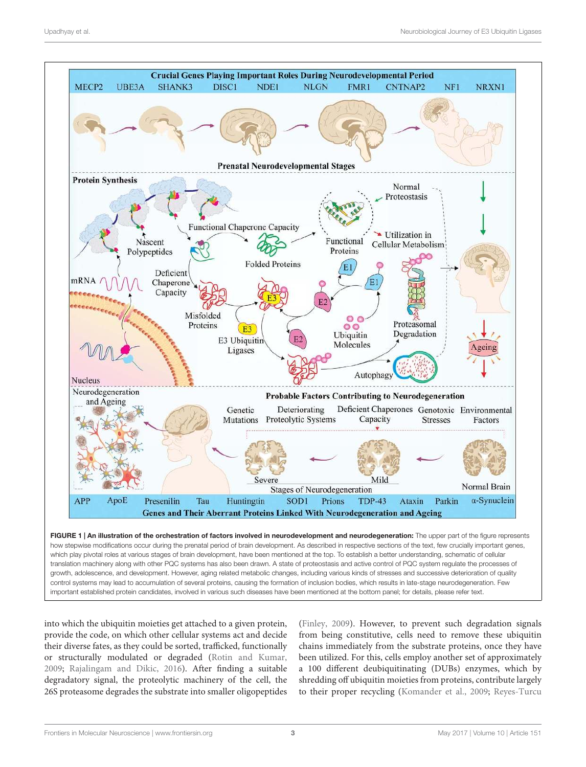

translation machinery along with other PQC systems has also been drawn. A state of proteostasis and active control of PQC system regulate the processes of growth, adolescence, and development. However, aging related metabolic changes, including various kinds of stresses and successive deterioration of quality control systems may lead to accumulation of several proteins, causing the formation of inclusion bodies, which results in late-stage neurodegeneration. Few important established protein candidates, involved in various such diseases have been mentioned at the bottom panel; for details, please refer text.

into which the ubiquitin moieties get attached to a given protein, provide the code, on which other cellular systems act and decide their diverse fates, as they could be sorted, trafficked, functionally or structurally modulated or degraded (Rotin and Kumar, 2009; Rajalingam and Dikic, 2016). After finding a suitable degradatory signal, the proteolytic machinery of the cell, the 26S proteasome degrades the substrate into smaller oligopeptides (Finley, 2009). However, to prevent such degradation signals from being constitutive, cells need to remove these ubiquitin chains immediately from the substrate proteins, once they have been utilized. For this, cells employ another set of approximately a 100 different deubiquitinating (DUBs) enzymes, which by shredding off ubiquitin moieties from proteins, contribute largely to their proper recycling (Komander et al., 2009; Reyes-Turcu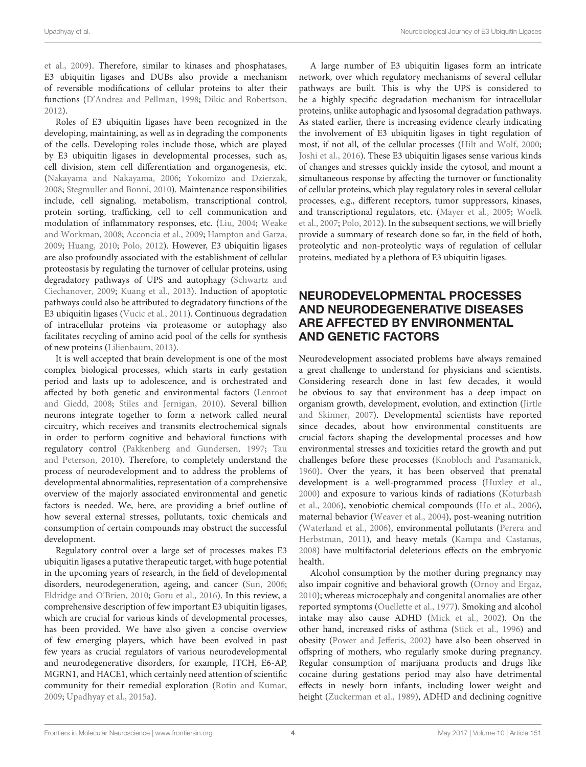et al., 2009). Therefore, similar to kinases and phosphatases, E3 ubiquitin ligases and DUBs also provide a mechanism of reversible modifications of cellular proteins to alter their functions (D'Andrea and Pellman, 1998; Dikic and Robertson, 2012).

Roles of E3 ubiquitin ligases have been recognized in the developing, maintaining, as well as in degrading the components of the cells. Developing roles include those, which are played by E3 ubiquitin ligases in developmental processes, such as, cell division, stem cell differentiation and organogenesis, etc. (Nakayama and Nakayama, 2006; Yokomizo and Dzierzak, 2008; Stegmuller and Bonni, 2010). Maintenance responsibilities include, cell signaling, metabolism, transcriptional control, protein sorting, trafficking, cell to cell communication and modulation of inflammatory responses, etc. (Liu, 2004; Weake and Workman, 2008; Acconcia et al., 2009; Hampton and Garza, 2009; Huang, 2010; Polo, 2012). However, E3 ubiquitin ligases are also profoundly associated with the establishment of cellular proteostasis by regulating the turnover of cellular proteins, using degradatory pathways of UPS and autophagy (Schwartz and Ciechanover, 2009; Kuang et al., 2013). Induction of apoptotic pathways could also be attributed to degradatory functions of the E3 ubiquitin ligases (Vucic et al., 2011). Continuous degradation of intracellular proteins via proteasome or autophagy also facilitates recycling of amino acid pool of the cells for synthesis of new proteins (Lilienbaum, 2013).

It is well accepted that brain development is one of the most complex biological processes, which starts in early gestation period and lasts up to adolescence, and is orchestrated and affected by both genetic and environmental factors (Lenroot and Giedd, 2008; Stiles and Jernigan, 2010). Several billion neurons integrate together to form a network called neural circuitry, which receives and transmits electrochemical signals in order to perform cognitive and behavioral functions with regulatory control (Pakkenberg and Gundersen, 1997; Tau and Peterson, 2010). Therefore, to completely understand the process of neurodevelopment and to address the problems of developmental abnormalities, representation of a comprehensive overview of the majorly associated environmental and genetic factors is needed. We, here, are providing a brief outline of how several external stresses, pollutants, toxic chemicals and consumption of certain compounds may obstruct the successful development.

Regulatory control over a large set of processes makes E3 ubiquitin ligases a putative therapeutic target, with huge potential in the upcoming years of research, in the field of developmental disorders, neurodegeneration, ageing, and cancer (Sun, 2006; Eldridge and O'Brien, 2010; Goru et al., 2016). In this review, a comprehensive description of few important E3 ubiquitin ligases, which are crucial for various kinds of developmental processes, has been provided. We have also given a concise overview of few emerging players, which have been evolved in past few years as crucial regulators of various neurodevelopmental and neurodegenerative disorders, for example, ITCH, E6-AP, MGRN1, and HACE1, which certainly need attention of scientific community for their remedial exploration (Rotin and Kumar, 2009; Upadhyay et al., 2015a).

A large number of E3 ubiquitin ligases form an intricate network, over which regulatory mechanisms of several cellular pathways are built. This is why the UPS is considered to be a highly specific degradation mechanism for intracellular proteins, unlike autophagic and lysosomal degradation pathways. As stated earlier, there is increasing evidence clearly indicating the involvement of E3 ubiquitin ligases in tight regulation of most, if not all, of the cellular processes (Hilt and Wolf, 2000; Joshi et al., 2016). These E3 ubiquitin ligases sense various kinds of changes and stresses quickly inside the cytosol, and mount a simultaneous response by affecting the turnover or functionality of cellular proteins, which play regulatory roles in several cellular processes, e.g., different receptors, tumor suppressors, kinases, and transcriptional regulators, etc. (Mayer et al., 2005; Woelk et al., 2007; Polo, 2012). In the subsequent sections, we will briefly provide a summary of research done so far, in the field of both, proteolytic and non-proteolytic ways of regulation of cellular proteins, mediated by a plethora of E3 ubiquitin ligases.

## NEURODEVELOPMENTAL PROCESSES AND NEURODEGENERATIVE DISEASES ARE AFFECTED BY ENVIRONMENTAL AND GENETIC FACTORS

Neurodevelopment associated problems have always remained a great challenge to understand for physicians and scientists. Considering research done in last few decades, it would be obvious to say that environment has a deep impact on organism growth, development, evolution, and extinction (Jirtle and Skinner, 2007). Developmental scientists have reported since decades, about how environmental constituents are crucial factors shaping the developmental processes and how environmental stresses and toxicities retard the growth and put challenges before these processes (Knobloch and Pasamanick, 1960). Over the years, it has been observed that prenatal development is a well-programmed process (Huxley et al., 2000) and exposure to various kinds of radiations (Koturbash et al., 2006), xenobiotic chemical compounds (Ho et al., 2006), maternal behavior (Weaver et al., 2004), post-weaning nutrition (Waterland et al., 2006), environmental pollutants (Perera and Herbstman, 2011), and heavy metals (Kampa and Castanas, 2008) have multifactorial deleterious effects on the embryonic health.

Alcohol consumption by the mother during pregnancy may also impair cognitive and behavioral growth (Ornoy and Ergaz, 2010); whereas microcephaly and congenital anomalies are other reported symptoms (Ouellette et al., 1977). Smoking and alcohol intake may also cause ADHD (Mick et al., 2002). On the other hand, increased risks of asthma (Stick et al., 1996) and obesity (Power and Jefferis, 2002) have also been observed in offspring of mothers, who regularly smoke during pregnancy. Regular consumption of marijuana products and drugs like cocaine during gestations period may also have detrimental effects in newly born infants, including lower weight and height (Zuckerman et al., 1989), ADHD and declining cognitive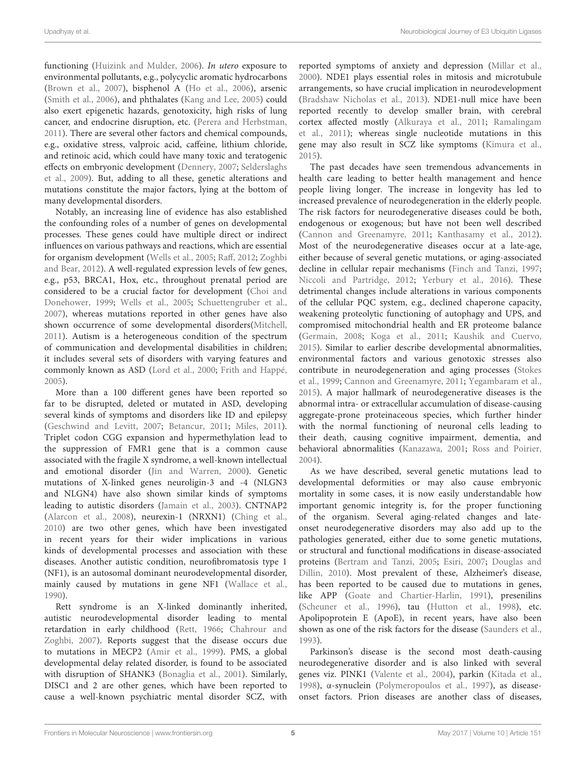functioning (Huizink and Mulder, 2006). In utero exposure to environmental pollutants, e.g., polycyclic aromatic hydrocarbons (Brown et al., 2007), bisphenol A (Ho et al., 2006), arsenic (Smith et al., 2006), and phthalates (Kang and Lee, 2005) could also exert epigenetic hazards, genotoxicity, high risks of lung cancer, and endocrine disruption, etc. (Perera and Herbstman, 2011). There are several other factors and chemical compounds, e.g., oxidative stress, valproic acid, caffeine, lithium chloride, and retinoic acid, which could have many toxic and teratogenic effects on embryonic development (Dennery, 2007; Selderslaghs et al., 2009). But, adding to all these, genetic alterations and mutations constitute the major factors, lying at the bottom of many developmental disorders.

Notably, an increasing line of evidence has also established the confounding roles of a number of genes on developmental processes. These genes could have multiple direct or indirect influences on various pathways and reactions, which are essential for organism development (Wells et al., 2005; Raff, 2012; Zoghbi and Bear, 2012). A well-regulated expression levels of few genes, e.g., p53, BRCA1, Hox, etc., throughout prenatal period are considered to be a crucial factor for development (Choi and Donehower, 1999; Wells et al., 2005; Schuettengruber et al., 2007), whereas mutations reported in other genes have also shown occurrence of some developmental disorders(Mitchell, 2011). Autism is a heterogeneous condition of the spectrum of communication and developmental disabilities in children; it includes several sets of disorders with varying features and commonly known as ASD (Lord et al., 2000; Frith and Happé, 2005).

More than a 100 different genes have been reported so far to be disrupted, deleted or mutated in ASD, developing several kinds of symptoms and disorders like ID and epilepsy (Geschwind and Levitt, 2007; Betancur, 2011; Miles, 2011). Triplet codon CGG expansion and hypermethylation lead to the suppression of FMR1 gene that is a common cause associated with the fragile X syndrome, a well-known intellectual and emotional disorder (Jin and Warren, 2000). Genetic mutations of X-linked genes neuroligin-3 and -4 (NLGN3 and NLGN4) have also shown similar kinds of symptoms leading to autistic disorders (Jamain et al., 2003). CNTNAP2 (Alarcon et al., 2008), neurexin-1 (NRXN1) (Ching et al., 2010) are two other genes, which have been investigated in recent years for their wider implications in various kinds of developmental processes and association with these diseases. Another autistic condition, neurofibromatosis type 1 (NF1), is an autosomal dominant neurodevelopmental disorder, mainly caused by mutations in gene NF1 (Wallace et al., 1990).

Rett syndrome is an X-linked dominantly inherited, autistic neurodevelopmental disorder leading to mental retardation in early childhood (Rett, 1966; Chahrour and Zoghbi, 2007). Reports suggest that the disease occurs due to mutations in MECP2 (Amir et al., 1999). PMS, a global developmental delay related disorder, is found to be associated with disruption of SHANK3 (Bonaglia et al., 2001). Similarly, DISC1 and 2 are other genes, which have been reported to cause a well-known psychiatric mental disorder SCZ, with

reported symptoms of anxiety and depression (Millar et al., 2000). NDE1 plays essential roles in mitosis and microtubule arrangements, so have crucial implication in neurodevelopment (Bradshaw Nicholas et al., 2013). NDE1-null mice have been reported recently to develop smaller brain, with cerebral cortex affected mostly (Alkuraya et al., 2011; Ramalingam et al., 2011); whereas single nucleotide mutations in this gene may also result in SCZ like symptoms (Kimura et al., 2015).

The past decades have seen tremendous advancements in health care leading to better health management and hence people living longer. The increase in longevity has led to increased prevalence of neurodegeneration in the elderly people. The risk factors for neurodegenerative diseases could be both, endogenous or exogenous; but have not been well described (Cannon and Greenamyre, 2011; Kanthasamy et al., 2012). Most of the neurodegenerative diseases occur at a late-age, either because of several genetic mutations, or aging-associated decline in cellular repair mechanisms (Finch and Tanzi, 1997; Niccoli and Partridge, 2012; Yerbury et al., 2016). These detrimental changes include alterations in various components of the cellular PQC system, e.g., declined chaperone capacity, weakening proteolytic functioning of autophagy and UPS, and compromised mitochondrial health and ER proteome balance (Germain, 2008; Koga et al., 2011; Kaushik and Cuervo, 2015). Similar to earlier describe developmental abnormalities, environmental factors and various genotoxic stresses also contribute in neurodegeneration and aging processes (Stokes et al., 1999; Cannon and Greenamyre, 2011; Yegambaram et al., 2015). A major hallmark of neurodegenerative diseases is the abnormal intra- or extracellular accumulation of disease-causing aggregate-prone proteinaceous species, which further hinder with the normal functioning of neuronal cells leading to their death, causing cognitive impairment, dementia, and behavioral abnormalities (Kanazawa, 2001; Ross and Poirier, 2004).

As we have described, several genetic mutations lead to developmental deformities or may also cause embryonic mortality in some cases, it is now easily understandable how important genomic integrity is, for the proper functioning of the organism. Several aging-related changes and lateonset neurodegenerative disorders may also add up to the pathologies generated, either due to some genetic mutations, or structural and functional modifications in disease-associated proteins (Bertram and Tanzi, 2005; Esiri, 2007; Douglas and Dillin, 2010). Most prevalent of these, Alzheimer's disease, has been reported to be caused due to mutations in genes, like APP (Goate and Chartier-Harlin, 1991), presenilins (Scheuner et al., 1996), tau (Hutton et al., 1998), etc. Apolipoprotein E (ApoE), in recent years, have also been shown as one of the risk factors for the disease (Saunders et al., 1993).

Parkinson's disease is the second most death-causing neurodegenerative disorder and is also linked with several genes viz. PINK1 (Valente et al., 2004), parkin (Kitada et al., 1998), α-synuclein (Polymeropoulos et al., 1997), as diseaseonset factors. Prion diseases are another class of diseases,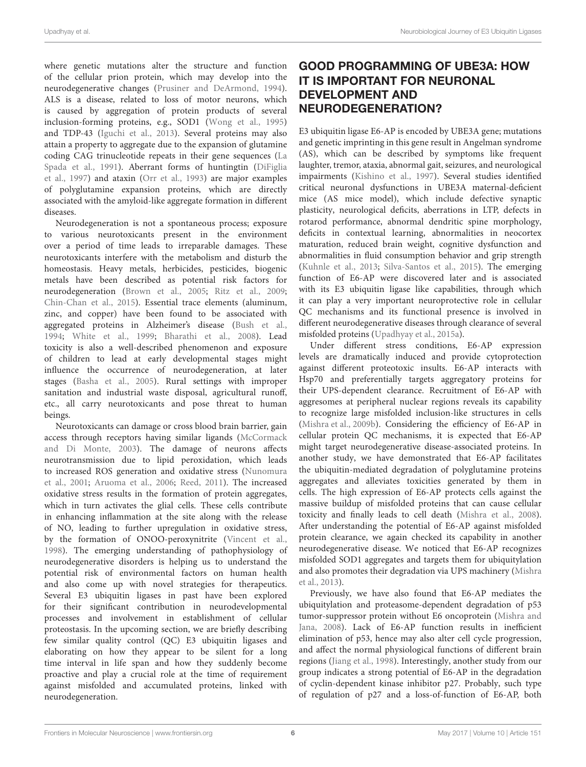where genetic mutations alter the structure and function of the cellular prion protein, which may develop into the neurodegenerative changes (Prusiner and DeArmond, 1994). ALS is a disease, related to loss of motor neurons, which is caused by aggregation of protein products of several inclusion-forming proteins, e.g., SOD1 (Wong et al., 1995) and TDP-43 (Iguchi et al., 2013). Several proteins may also attain a property to aggregate due to the expansion of glutamine coding CAG trinucleotide repeats in their gene sequences (La Spada et al., 1991). Aberrant forms of huntingtin (DiFiglia et al., 1997) and ataxin (Orr et al., 1993) are major examples of polyglutamine expansion proteins, which are directly associated with the amyloid-like aggregate formation in different diseases.

Neurodegeneration is not a spontaneous process; exposure to various neurotoxicants present in the environment over a period of time leads to irreparable damages. These neurotoxicants interfere with the metabolism and disturb the homeostasis. Heavy metals, herbicides, pesticides, biogenic metals have been described as potential risk factors for neurodegeneration (Brown et al., 2005; Ritz et al., 2009; Chin-Chan et al., 2015). Essential trace elements (aluminum, zinc, and copper) have been found to be associated with aggregated proteins in Alzheimer's disease (Bush et al., 1994; White et al., 1999; Bharathi et al., 2008). Lead toxicity is also a well-described phenomenon and exposure of children to lead at early developmental stages might influence the occurrence of neurodegeneration, at later stages (Basha et al., 2005). Rural settings with improper sanitation and industrial waste disposal, agricultural runoff, etc., all carry neurotoxicants and pose threat to human beings.

Neurotoxicants can damage or cross blood brain barrier, gain access through receptors having similar ligands (McCormack and Di Monte, 2003). The damage of neurons affects neurotransmission due to lipid peroxidation, which leads to increased ROS generation and oxidative stress (Nunomura et al., 2001; Aruoma et al., 2006; Reed, 2011). The increased oxidative stress results in the formation of protein aggregates, which in turn activates the glial cells. These cells contribute in enhancing inflammation at the site along with the release of NO, leading to further upregulation in oxidative stress, by the formation of ONOO-peroxynitrite (Vincent et al., 1998). The emerging understanding of pathophysiology of neurodegenerative disorders is helping us to understand the potential risk of environmental factors on human health and also come up with novel strategies for therapeutics. Several E3 ubiquitin ligases in past have been explored for their significant contribution in neurodevelopmental processes and involvement in establishment of cellular proteostasis. In the upcoming section, we are briefly describing few similar quality control (QC) E3 ubiquitin ligases and elaborating on how they appear to be silent for a long time interval in life span and how they suddenly become proactive and play a crucial role at the time of requirement against misfolded and accumulated proteins, linked with neurodegeneration.

# GOOD PROGRAMMING OF UBE3A: HOW IT IS IMPORTANT FOR NEURONAL DEVELOPMENT AND NEURODEGENERATION?

E3 ubiquitin ligase E6-AP is encoded by UBE3A gene; mutations and genetic imprinting in this gene result in Angelman syndrome (AS), which can be described by symptoms like frequent laughter, tremor, ataxia, abnormal gait, seizures, and neurological impairments (Kishino et al., 1997). Several studies identified critical neuronal dysfunctions in UBE3A maternal-deficient mice (AS mice model), which include defective synaptic plasticity, neurological deficits, aberrations in LTP, defects in rotarod performance, abnormal dendritic spine morphology, deficits in contextual learning, abnormalities in neocortex maturation, reduced brain weight, cognitive dysfunction and abnormalities in fluid consumption behavior and grip strength (Kuhnle et al., 2013; Silva-Santos et al., 2015). The emerging function of E6-AP were discovered later and is associated with its E3 ubiquitin ligase like capabilities, through which it can play a very important neuroprotective role in cellular QC mechanisms and its functional presence is involved in different neurodegenerative diseases through clearance of several misfolded proteins (Upadhyay et al., 2015a).

Under different stress conditions, E6-AP expression levels are dramatically induced and provide cytoprotection against different proteotoxic insults. E6-AP interacts with Hsp70 and preferentially targets aggregatory proteins for their UPS-dependent clearance. Recruitment of E6-AP with aggresomes at peripheral nuclear regions reveals its capability to recognize large misfolded inclusion-like structures in cells (Mishra et al., 2009b). Considering the efficiency of E6-AP in cellular protein QC mechanisms, it is expected that E6-AP might target neurodegenerative disease-associated proteins. In another study, we have demonstrated that E6-AP facilitates the ubiquitin-mediated degradation of polyglutamine proteins aggregates and alleviates toxicities generated by them in cells. The high expression of E6-AP protects cells against the massive buildup of misfolded proteins that can cause cellular toxicity and finally leads to cell death (Mishra et al., 2008). After understanding the potential of E6-AP against misfolded protein clearance, we again checked its capability in another neurodegenerative disease. We noticed that E6-AP recognizes misfolded SOD1 aggregates and targets them for ubiquitylation and also promotes their degradation via UPS machinery (Mishra et al., 2013).

Previously, we have also found that E6-AP mediates the ubiquitylation and proteasome-dependent degradation of p53 tumor-suppressor protein without E6 oncoprotein (Mishra and Jana, 2008). Lack of E6-AP function results in inefficient elimination of p53, hence may also alter cell cycle progression, and affect the normal physiological functions of different brain regions (Jiang et al., 1998). Interestingly, another study from our group indicates a strong potential of E6-AP in the degradation of cyclin-dependent kinase inhibitor p27. Probably, such type of regulation of p27 and a loss-of-function of E6-AP, both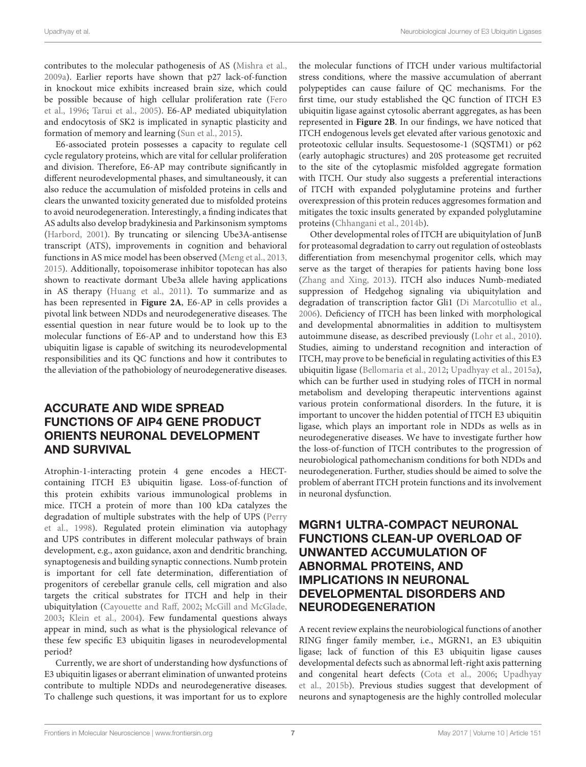contributes to the molecular pathogenesis of AS (Mishra et al., 2009a). Earlier reports have shown that p27 lack-of-function in knockout mice exhibits increased brain size, which could be possible because of high cellular proliferation rate (Fero et al., 1996; Tarui et al., 2005). E6-AP mediated ubiquitylation and endocytosis of SK2 is implicated in synaptic plasticity and formation of memory and learning (Sun et al., 2015).

E6-associated protein possesses a capacity to regulate cell cycle regulatory proteins, which are vital for cellular proliferation and division. Therefore, E6-AP may contribute significantly in different neurodevelopmental phases, and simultaneously, it can also reduce the accumulation of misfolded proteins in cells and clears the unwanted toxicity generated due to misfolded proteins to avoid neurodegeneration. Interestingly, a finding indicates that AS adults also develop bradykinesia and Parkinsonism symptoms (Harbord, 2001). By truncating or silencing Ube3A-antisense transcript (ATS), improvements in cognition and behavioral functions in AS mice model has been observed (Meng et al., 2013, 2015). Additionally, topoisomerase inhibitor topotecan has also shown to reactivate dormant Ube3a allele having applications in AS therapy (Huang et al., 2011). To summarize and as has been represented in **Figure 2A**, E6-AP in cells provides a pivotal link between NDDs and neurodegenerative diseases. The essential question in near future would be to look up to the molecular functions of E6-AP and to understand how this E3 ubiquitin ligase is capable of switching its neurodevelopmental responsibilities and its QC functions and how it contributes to the alleviation of the pathobiology of neurodegenerative diseases.

# ACCURATE AND WIDE SPREAD FUNCTIONS OF AIP4 GENE PRODUCT ORIENTS NEURONAL DEVELOPMENT AND SURVIVAL

Atrophin-1-interacting protein 4 gene encodes a HECTcontaining ITCH E3 ubiquitin ligase. Loss-of-function of this protein exhibits various immunological problems in mice. ITCH a protein of more than 100 kDa catalyzes the degradation of multiple substrates with the help of UPS (Perry et al., 1998). Regulated protein elimination via autophagy and UPS contributes in different molecular pathways of brain development, e.g., axon guidance, axon and dendritic branching, synaptogenesis and building synaptic connections. Numb protein is important for cell fate determination, differentiation of progenitors of cerebellar granule cells, cell migration and also targets the critical substrates for ITCH and help in their ubiquitylation (Cayouette and Raff, 2002; McGill and McGlade, 2003; Klein et al., 2004). Few fundamental questions always appear in mind, such as what is the physiological relevance of these few specific E3 ubiquitin ligases in neurodevelopmental period?

Currently, we are short of understanding how dysfunctions of E3 ubiquitin ligases or aberrant elimination of unwanted proteins contribute to multiple NDDs and neurodegenerative diseases. To challenge such questions, it was important for us to explore

the molecular functions of ITCH under various multifactorial stress conditions, where the massive accumulation of aberrant polypeptides can cause failure of QC mechanisms. For the first time, our study established the QC function of ITCH E3 ubiquitin ligase against cytosolic aberrant aggregates, as has been represented in **Figure 2B**. In our findings, we have noticed that ITCH endogenous levels get elevated after various genotoxic and proteotoxic cellular insults. Sequestosome-1 (SQSTM1) or p62 (early autophagic structures) and 20S proteasome get recruited to the site of the cytoplasmic misfolded aggregate formation with ITCH. Our study also suggests a preferential interactions of ITCH with expanded polyglutamine proteins and further overexpression of this protein reduces aggresomes formation and mitigates the toxic insults generated by expanded polyglutamine proteins (Chhangani et al., 2014b).

Other developmental roles of ITCH are ubiquitylation of JunB for proteasomal degradation to carry out regulation of osteoblasts differentiation from mesenchymal progenitor cells, which may serve as the target of therapies for patients having bone loss (Zhang and Xing, 2013). ITCH also induces Numb-mediated suppression of Hedgehog signaling via ubiquitylation and degradation of transcription factor Gli1 (Di Marcotullio et al., 2006). Deficiency of ITCH has been linked with morphological and developmental abnormalities in addition to multisystem autoimmune disease, as described previously (Lohr et al., 2010). Studies, aiming to understand recognition and interaction of ITCH, may prove to be beneficial in regulating activities of this E3 ubiquitin ligase (Bellomaria et al., 2012; Upadhyay et al., 2015a), which can be further used in studying roles of ITCH in normal metabolism and developing therapeutic interventions against various protein conformational disorders. In the future, it is important to uncover the hidden potential of ITCH E3 ubiquitin ligase, which plays an important role in NDDs as wells as in neurodegenerative diseases. We have to investigate further how the loss-of-function of ITCH contributes to the progression of neurobiological pathomechanism conditions for both NDDs and neurodegeneration. Further, studies should be aimed to solve the problem of aberrant ITCH protein functions and its involvement in neuronal dysfunction.

## MGRN1 ULTRA-COMPACT NEURONAL FUNCTIONS CLEAN-UP OVERLOAD OF UNWANTED ACCUMULATION OF ABNORMAL PROTEINS, AND IMPLICATIONS IN NEURONAL DEVELOPMENTAL DISORDERS AND NEURODEGENERATION

A recent review explains the neurobiological functions of another RING finger family member, i.e., MGRN1, an E3 ubiquitin ligase; lack of function of this E3 ubiquitin ligase causes developmental defects such as abnormal left-right axis patterning and congenital heart defects (Cota et al., 2006; Upadhyay et al., 2015b). Previous studies suggest that development of neurons and synaptogenesis are the highly controlled molecular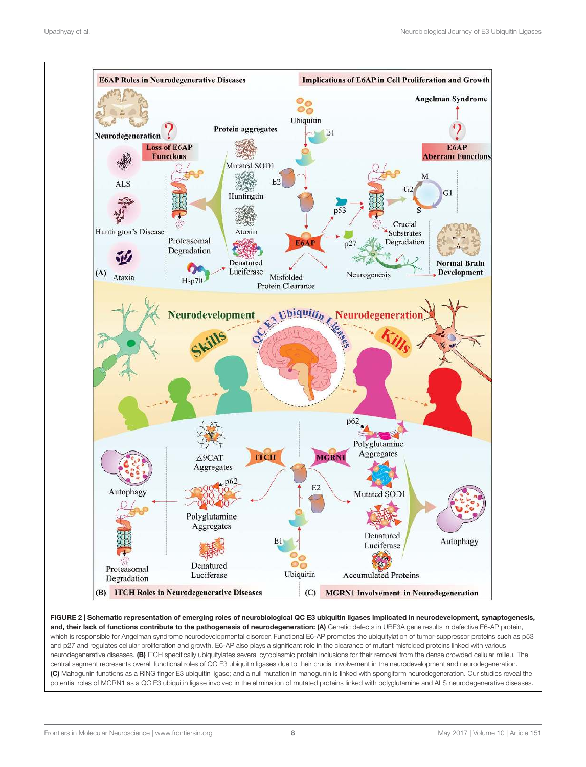

FIGURE 2 | Schematic representation of emerging roles of neurobiological QC E3 ubiquitin ligases implicated in neurodevelopment, synaptogenesis, and, their lack of functions contribute to the pathogenesis of neurodegeneration: (A) Genetic defects in UBE3A gene results in defective E6-AP protein, which is responsible for Angelman syndrome neurodevelopmental disorder. Functional E6-AP promotes the ubiquitylation of tumor-suppressor proteins such as p53 and p27 and regulates cellular proliferation and growth. E6-AP also plays a significant role in the clearance of mutant misfolded proteins linked with various neurodegenerative diseases. (B) ITCH specifically ubiquitylates several cytoplasmic protein inclusions for their removal from the dense crowded cellular milieu. The central segment represents overall functional roles of QC E3 ubiquitin ligases due to their crucial involvement in the neurodevelopment and neurodegeneration. (C) Mahogunin functions as a RING finger E3 ubiquitin ligase; and a null mutation in mahogunin is linked with spongiform neurodegeneration. Our studies reveal the potential roles of MGRN1 as a QC E3 ubiquitin ligase involved in the elimination of mutated proteins linked with polyglutamine and ALS neurodegenerative diseases.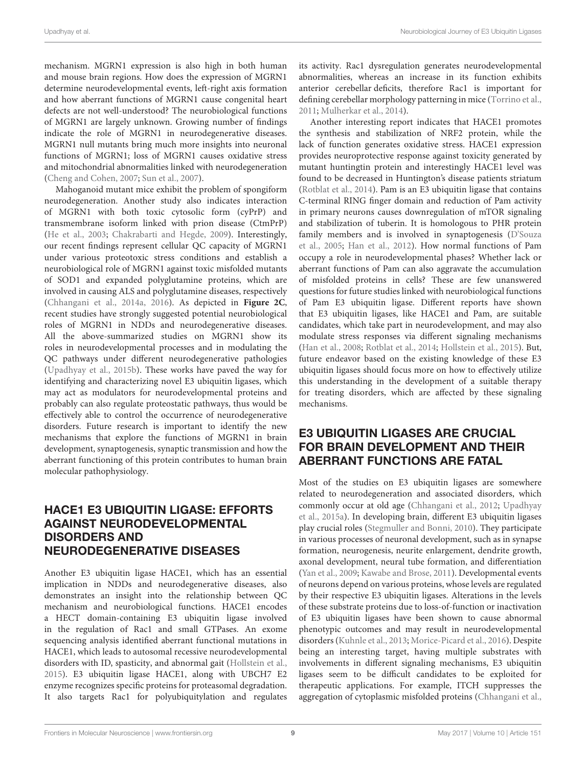mechanism. MGRN1 expression is also high in both human and mouse brain regions. How does the expression of MGRN1 determine neurodevelopmental events, left-right axis formation and how aberrant functions of MGRN1 cause congenital heart defects are not well-understood? The neurobiological functions of MGRN1 are largely unknown. Growing number of findings indicate the role of MGRN1 in neurodegenerative diseases. MGRN1 null mutants bring much more insights into neuronal functions of MGRN1; loss of MGRN1 causes oxidative stress and mitochondrial abnormalities linked with neurodegeneration (Cheng and Cohen, 2007; Sun et al., 2007).

Mahoganoid mutant mice exhibit the problem of spongiform neurodegeneration. Another study also indicates interaction of MGRN1 with both toxic cytosolic form (cyPrP) and transmembrane isoform linked with prion disease (CtmPrP) (He et al., 2003; Chakrabarti and Hegde, 2009). Interestingly, our recent findings represent cellular QC capacity of MGRN1 under various proteotoxic stress conditions and establish a neurobiological role of MGRN1 against toxic misfolded mutants of SOD1 and expanded polyglutamine proteins, which are involved in causing ALS and polyglutamine diseases, respectively (Chhangani et al., 2014a, 2016). As depicted in **Figure 2C**, recent studies have strongly suggested potential neurobiological roles of MGRN1 in NDDs and neurodegenerative diseases. All the above-summarized studies on MGRN1 show its roles in neurodevelopmental processes and in modulating the QC pathways under different neurodegenerative pathologies (Upadhyay et al., 2015b). These works have paved the way for identifying and characterizing novel E3 ubiquitin ligases, which may act as modulators for neurodevelopmental proteins and probably can also regulate proteostatic pathways, thus would be effectively able to control the occurrence of neurodegenerative disorders. Future research is important to identify the new mechanisms that explore the functions of MGRN1 in brain development, synaptogenesis, synaptic transmission and how the aberrant functioning of this protein contributes to human brain molecular pathophysiology.

## HACE1 E3 UBIQUITIN LIGASE: EFFORTS AGAINST NEURODEVELOPMENTAL DISORDERS AND NEURODEGENERATIVE DISEASES

Another E3 ubiquitin ligase HACE1, which has an essential implication in NDDs and neurodegenerative diseases, also demonstrates an insight into the relationship between QC mechanism and neurobiological functions. HACE1 encodes a HECT domain-containing E3 ubiquitin ligase involved in the regulation of Rac1 and small GTPases. An exome sequencing analysis identified aberrant functional mutations in HACE1, which leads to autosomal recessive neurodevelopmental disorders with ID, spasticity, and abnormal gait (Hollstein et al., 2015). E3 ubiquitin ligase HACE1, along with UBCH7 E2 enzyme recognizes specific proteins for proteasomal degradation. It also targets Rac1 for polyubiquitylation and regulates

its activity. Rac1 dysregulation generates neurodevelopmental abnormalities, whereas an increase in its function exhibits anterior cerebellar deficits, therefore Rac1 is important for defining cerebellar morphology patterning in mice (Torrino et al., 2011; Mulherkar et al., 2014).

Another interesting report indicates that HACE1 promotes the synthesis and stabilization of NRF2 protein, while the lack of function generates oxidative stress. HACE1 expression provides neuroprotective response against toxicity generated by mutant huntingtin protein and interestingly HACE1 level was found to be decreased in Huntington's disease patients striatum (Rotblat et al., 2014). Pam is an E3 ubiquitin ligase that contains C-terminal RING finger domain and reduction of Pam activity in primary neurons causes downregulation of mTOR signaling and stabilization of tuberin. It is homologous to PHR protein family members and is involved in synaptogenesis (D'Souza et al., 2005; Han et al., 2012). How normal functions of Pam occupy a role in neurodevelopmental phases? Whether lack or aberrant functions of Pam can also aggravate the accumulation of misfolded proteins in cells? These are few unanswered questions for future studies linked with neurobiological functions of Pam E3 ubiquitin ligase. Different reports have shown that E3 ubiquitin ligases, like HACE1 and Pam, are suitable candidates, which take part in neurodevelopment, and may also modulate stress responses via different signaling mechanisms (Han et al., 2008; Rotblat et al., 2014; Hollstein et al., 2015). But, future endeavor based on the existing knowledge of these E3 ubiquitin ligases should focus more on how to effectively utilize this understanding in the development of a suitable therapy for treating disorders, which are affected by these signaling mechanisms.

## E3 UBIQUITIN LIGASES ARE CRUCIAL FOR BRAIN DEVELOPMENT AND THEIR ABERRANT FUNCTIONS ARE FATAL

Most of the studies on E3 ubiquitin ligases are somewhere related to neurodegeneration and associated disorders, which commonly occur at old age (Chhangani et al., 2012; Upadhyay et al., 2015a). In developing brain, different E3 ubiquitin ligases play crucial roles (Stegmuller and Bonni, 2010). They participate in various processes of neuronal development, such as in synapse formation, neurogenesis, neurite enlargement, dendrite growth, axonal development, neural tube formation, and differentiation (Yan et al., 2009; Kawabe and Brose, 2011). Developmental events of neurons depend on various proteins, whose levels are regulated by their respective E3 ubiquitin ligases. Alterations in the levels of these substrate proteins due to loss-of-function or inactivation of E3 ubiquitin ligases have been shown to cause abnormal phenotypic outcomes and may result in neurodevelopmental disorders (Kuhnle et al., 2013; Morice-Picard et al., 2016). Despite being an interesting target, having multiple substrates with involvements in different signaling mechanisms, E3 ubiquitin ligases seem to be difficult candidates to be exploited for therapeutic applications. For example, ITCH suppresses the aggregation of cytoplasmic misfolded proteins (Chhangani et al.,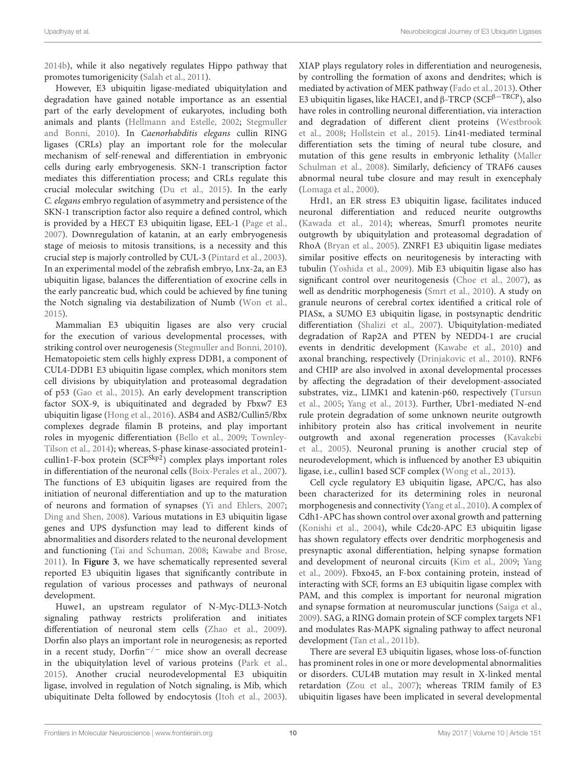2014b), while it also negatively regulates Hippo pathway that promotes tumorigenicity (Salah et al., 2011).

However, E3 ubiquitin ligase-mediated ubiquitylation and degradation have gained notable importance as an essential part of the early development of eukaryotes, including both animals and plants (Hellmann and Estelle, 2002; Stegmuller and Bonni, 2010). In Caenorhabditis elegans cullin RING ligases (CRLs) play an important role for the molecular mechanism of self-renewal and differentiation in embryonic cells during early embryogenesis. SKN-1 transcription factor mediates this differentiation process; and CRLs regulate this crucial molecular switching (Du et al., 2015). In the early C. elegans embryo regulation of asymmetry and persistence of the SKN-1 transcription factor also require a defined control, which is provided by a HECT E3 ubiquitin ligase, EEL-1 (Page et al., 2007). Downregulation of katanin, at an early embryogenesis stage of meiosis to mitosis transitions, is a necessity and this crucial step is majorly controlled by CUL-3 (Pintard et al., 2003). In an experimental model of the zebrafish embryo, Lnx-2a, an E3 ubiquitin ligase, balances the differentiation of exocrine cells in the early pancreatic bud, which could be achieved by fine tuning the Notch signaling via destabilization of Numb (Won et al., 2015).

Mammalian E3 ubiquitin ligases are also very crucial for the execution of various developmental processes, with striking control over neurogenesis (Stegmuller and Bonni, 2010). Hematopoietic stem cells highly express DDB1, a component of CUL4-DDB1 E3 ubiquitin ligase complex, which monitors stem cell divisions by ubiquitylation and proteasomal degradation of p53 (Gao et al., 2015). An early development transcription factor SOX-9, is ubiquitinated and degraded by Fbxw7 E3 ubiquitin ligase (Hong et al., 2016). ASB4 and ASB2/Cullin5/Rbx complexes degrade filamin B proteins, and play important roles in myogenic differentiation (Bello et al., 2009; Townley-Tilson et al., 2014); whereas, S-phase kinase-associated protein1 cullin1-F-box protein (SCF<sup>Skp2</sup>) complex plays important roles in differentiation of the neuronal cells (Boix-Perales et al., 2007). The functions of E3 ubiquitin ligases are required from the initiation of neuronal differentiation and up to the maturation of neurons and formation of synapses (Yi and Ehlers, 2007; Ding and Shen, 2008). Various mutations in E3 ubiquitin ligase genes and UPS dysfunction may lead to different kinds of abnormalities and disorders related to the neuronal development and functioning (Tai and Schuman, 2008; Kawabe and Brose, 2011). In **Figure 3**, we have schematically represented several reported E3 ubiquitin ligases that significantly contribute in regulation of various processes and pathways of neuronal development.

Huwe1, an upstream regulator of N-Myc-DLL3-Notch signaling pathway restricts proliferation and initiates differentiation of neuronal stem cells (Zhao et al., 2009). Dorfin also plays an important role in neurogenesis; as reported in a recent study,  $Dorfin^{-/-}$  mice show an overall decrease in the ubiquitylation level of various proteins (Park et al., 2015). Another crucial neurodevelopmental E3 ubiquitin ligase, involved in regulation of Notch signaling, is Mib, which ubiquitinate Delta followed by endocytosis (Itoh et al., 2003).

XIAP plays regulatory roles in differentiation and neurogenesis, by controlling the formation of axons and dendrites; which is mediated by activation of MEK pathway (Fado et al., 2013). Other E3 ubiquitin ligases, like HACE1, and  $\beta$ -TRCP (SCF<sup> $\beta$ -TRCP</sup>), also have roles in controlling neuronal differentiation, via interaction and degradation of different client proteins (Westbrook et al., 2008; Hollstein et al., 2015). Lin41-mediated terminal differentiation sets the timing of neural tube closure, and mutation of this gene results in embryonic lethality (Maller Schulman et al., 2008). Similarly, deficiency of TRAF6 causes abnormal neural tube closure and may result in exencephaly (Lomaga et al., 2000).

Hrd1, an ER stress E3 ubiquitin ligase, facilitates induced neuronal differentiation and reduced neurite outgrowths (Kawada et al., 2014); whereas, Smurf1 promotes neurite outgrowth by ubiquitylation and proteasomal degradation of RhoA (Bryan et al., 2005). ZNRF1 E3 ubiquitin ligase mediates similar positive effects on neuritogenesis by interacting with tubulin (Yoshida et al., 2009). Mib E3 ubiquitin ligase also has significant control over neuritogenesis (Choe et al., 2007), as well as dendritic morphogenesis (Smrt et al., 2010). A study on granule neurons of cerebral cortex identified a critical role of PIASx, a SUMO E3 ubiquitin ligase, in postsynaptic dendritic differentiation (Shalizi et al., 2007). Ubiquitylation-mediated degradation of Rap2A and PTEN by NEDD4-1 are crucial events in dendritic development (Kawabe et al., 2010) and axonal branching, respectively (Drinjakovic et al., 2010). RNF6 and CHIP are also involved in axonal developmental processes by affecting the degradation of their development-associated substrates, viz., LIMK1 and katenin-p60, respectively (Tursun et al., 2005; Yang et al., 2013). Further, Ubr1-mediated N-end rule protein degradation of some unknown neurite outgrowth inhibitory protein also has critical involvement in neurite outgrowth and axonal regeneration processes (Kavakebi et al., 2005). Neuronal pruning is another crucial step of neurodevelopment, which is influenced by another E3 ubiquitin ligase, i.e., cullin1 based SCF complex (Wong et al., 2013).

Cell cycle regulatory E3 ubiquitin ligase, APC/C, has also been characterized for its determining roles in neuronal morphogenesis and connectivity (Yang et al., 2010). A complex of Cdh1-APC has shown control over axonal growth and patterning (Konishi et al., 2004), while Cdc20-APC E3 ubiquitin ligase has shown regulatory effects over dendritic morphogenesis and presynaptic axonal differentiation, helping synapse formation and development of neuronal circuits (Kim et al., 2009; Yang et al., 2009). Fbxo45, an F-box containing protein, instead of interacting with SCF, forms an E3 ubiquitin ligase complex with PAM, and this complex is important for neuronal migration and synapse formation at neuromuscular junctions (Saiga et al., 2009). SAG, a RING domain protein of SCF complex targets NF1 and modulates Ras-MAPK signaling pathway to affect neuronal development (Tan et al., 2011b).

There are several E3 ubiquitin ligases, whose loss-of-function has prominent roles in one or more developmental abnormalities or disorders. CUL4B mutation may result in X-linked mental retardation (Zou et al., 2007); whereas TRIM family of E3 ubiquitin ligases have been implicated in several developmental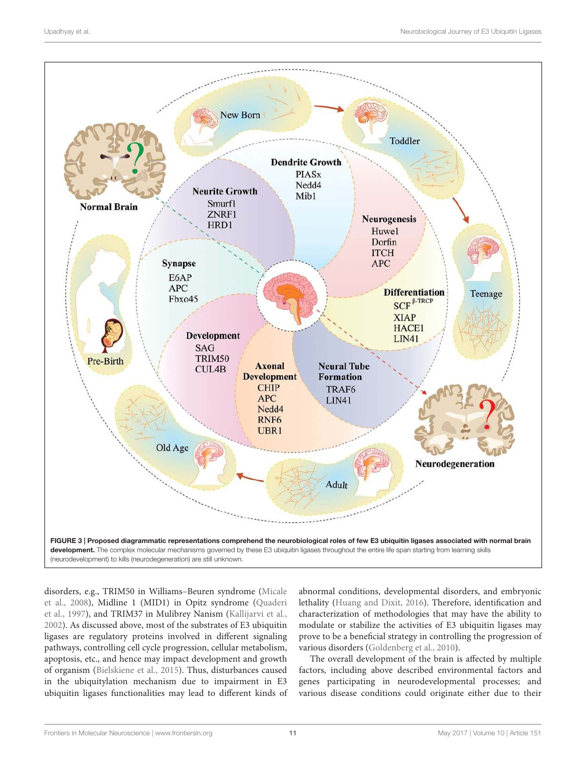

disorders, e.g., TRIM50 in Williams–Beuren syndrome (Micale et al., 2008), Midline 1 (MID1) in Opitz syndrome (Quaderi et al., 1997), and TRIM37 in Mulibrey Nanism (Kallijarvi et al., 2002). As discussed above, most of the substrates of E3 ubiquitin ligases are regulatory proteins involved in different signaling pathways, controlling cell cycle progression, cellular metabolism, apoptosis, etc., and hence may impact development and growth of organism (Bielskiene et al., 2015). Thus, disturbances caused in the ubiquitylation mechanism due to impairment in E3 ubiquitin ligases functionalities may lead to different kinds of

abnormal conditions, developmental disorders, and embryonic lethality (Huang and Dixit, 2016). Therefore, identification and characterization of methodologies that may have the ability to modulate or stabilize the activities of E3 ubiquitin ligases may prove to be a beneficial strategy in controlling the progression of various disorders (Goldenberg et al., 2010).

The overall development of the brain is affected by multiple factors, including above described environmental factors and genes participating in neurodevelopmental processes; and various disease conditions could originate either due to their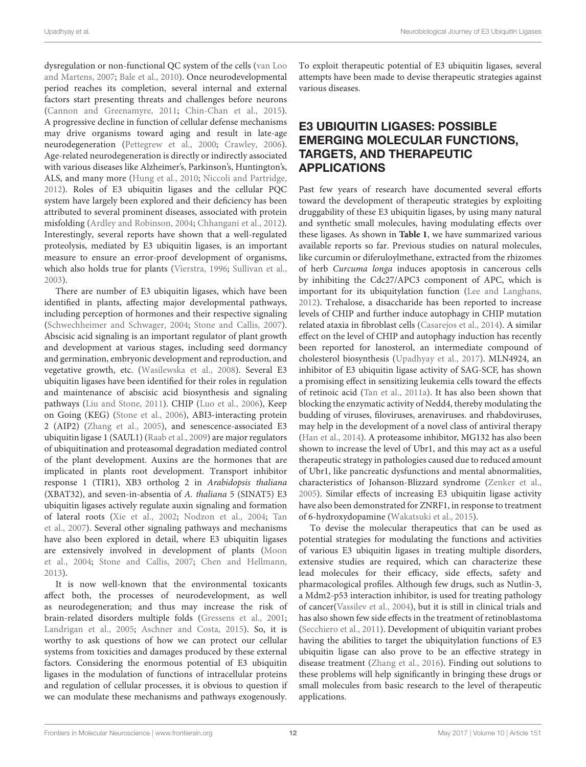dysregulation or non-functional QC system of the cells (van Loo and Martens, 2007; Bale et al., 2010). Once neurodevelopmental period reaches its completion, several internal and external factors start presenting threats and challenges before neurons (Cannon and Greenamyre, 2011; Chin-Chan et al., 2015). A progressive decline in function of cellular defense mechanisms may drive organisms toward aging and result in late-age neurodegeneration (Pettegrew et al., 2000; Crawley, 2006). Age-related neurodegeneration is directly or indirectly associated with various diseases like Alzheimer's, Parkinson's, Huntington's, ALS, and many more (Hung et al., 2010; Niccoli and Partridge, 2012). Roles of E3 ubiquitin ligases and the cellular PQC system have largely been explored and their deficiency has been attributed to several prominent diseases, associated with protein misfolding (Ardley and Robinson, 2004; Chhangani et al., 2012). Interestingly, several reports have shown that a well-regulated proteolysis, mediated by E3 ubiquitin ligases, is an important measure to ensure an error-proof development of organisms, which also holds true for plants (Vierstra, 1996; Sullivan et al., 2003).

There are number of E3 ubiquitin ligases, which have been identified in plants, affecting major developmental pathways, including perception of hormones and their respective signaling (Schwechheimer and Schwager, 2004; Stone and Callis, 2007). Abscisic acid signaling is an important regulator of plant growth and development at various stages, including seed dormancy and germination, embryonic development and reproduction, and vegetative growth, etc. (Wasilewska et al., 2008). Several E3 ubiquitin ligases have been identified for their roles in regulation and maintenance of abscisic acid biosynthesis and signaling pathways (Liu and Stone, 2011). CHIP (Luo et al., 2006), Keep on Going (KEG) (Stone et al., 2006), ABI3-interacting protein 2 (AIP2) (Zhang et al., 2005), and senescence-associated E3 ubiquitin ligase 1 (SAUL1) (Raab et al., 2009) are major regulators of ubiquitination and proteasomal degradation mediated control of the plant development. Auxins are the hormones that are implicated in plants root development. Transport inhibitor response 1 (TIR1), XB3 ortholog 2 in Arabidopsis thaliana (XBAT32), and seven-in-absentia of A. thaliana 5 (SINAT5) E3 ubiquitin ligases actively regulate auxin signaling and formation of lateral roots (Xie et al., 2002; Nodzon et al., 2004; Tan et al., 2007). Several other signaling pathways and mechanisms have also been explored in detail, where E3 ubiquitin ligases are extensively involved in development of plants (Moon et al., 2004; Stone and Callis, 2007; Chen and Hellmann, 2013).

It is now well-known that the environmental toxicants affect both, the processes of neurodevelopment, as well as neurodegeneration; and thus may increase the risk of brain-related disorders multiple folds (Gressens et al., 2001; Landrigan et al., 2005; Aschner and Costa, 2015). So, it is worthy to ask questions of how we can protect our cellular systems from toxicities and damages produced by these external factors. Considering the enormous potential of E3 ubiquitin ligases in the modulation of functions of intracellular proteins and regulation of cellular processes, it is obvious to question if we can modulate these mechanisms and pathways exogenously.

To exploit therapeutic potential of E3 ubiquitin ligases, several attempts have been made to devise therapeutic strategies against various diseases.

## E3 UBIQUITIN LIGASES: POSSIBLE EMERGING MOLECULAR FUNCTIONS, TARGETS, AND THERAPEUTIC APPLICATIONS

Past few years of research have documented several efforts toward the development of therapeutic strategies by exploiting druggability of these E3 ubiquitin ligases, by using many natural and synthetic small molecules, having modulating effects over these ligases. As shown in **Table 1**, we have summarized various available reports so far. Previous studies on natural molecules, like curcumin or diferuloylmethane, extracted from the rhizomes of herb Curcuma longa induces apoptosis in cancerous cells by inhibiting the Cdc27/APC3 component of APC, which is important for its ubiquitylation function (Lee and Langhans, 2012). Trehalose, a disaccharide has been reported to increase levels of CHIP and further induce autophagy in CHIP mutation related ataxia in fibroblast cells (Casarejos et al., 2014). A similar effect on the level of CHIP and autophagy induction has recently been reported for lanosterol, an intermediate compound of cholesterol biosynthesis (Upadhyay et al., 2017). MLN4924, an inhibitor of E3 ubiquitin ligase activity of SAG-SCF, has shown a promising effect in sensitizing leukemia cells toward the effects of retinoic acid (Tan et al., 2011a). It has also been shown that blocking the enzymatic activity of Nedd4, thereby modulating the budding of viruses, filoviruses, arenaviruses. and rhabdoviruses, may help in the development of a novel class of antiviral therapy (Han et al., 2014). A proteasome inhibitor, MG132 has also been shown to increase the level of Ubr1, and this may act as a useful therapeutic strategy in pathologies caused due to reduced amount of Ubr1, like pancreatic dysfunctions and mental abnormalities, characteristics of Johanson-Blizzard syndrome (Zenker et al., 2005). Similar effects of increasing E3 ubiquitin ligase activity have also been demonstrated for ZNRF1, in response to treatment of 6-hydroxydopamine (Wakatsuki et al., 2015).

To devise the molecular therapeutics that can be used as potential strategies for modulating the functions and activities of various E3 ubiquitin ligases in treating multiple disorders, extensive studies are required, which can characterize these lead molecules for their efficacy, side effects, safety and pharmacological profiles. Although few drugs, such as Nutlin-3, a Mdm2-p53 interaction inhibitor, is used for treating pathology of cancer(Vassilev et al., 2004), but it is still in clinical trials and has also shown few side effects in the treatment of retinoblastoma (Secchiero et al., 2011). Development of ubiquitin variant probes having the abilities to target the ubiquitylation functions of E3 ubiquitin ligase can also prove to be an effective strategy in disease treatment (Zhang et al., 2016). Finding out solutions to these problems will help significantly in bringing these drugs or small molecules from basic research to the level of therapeutic applications.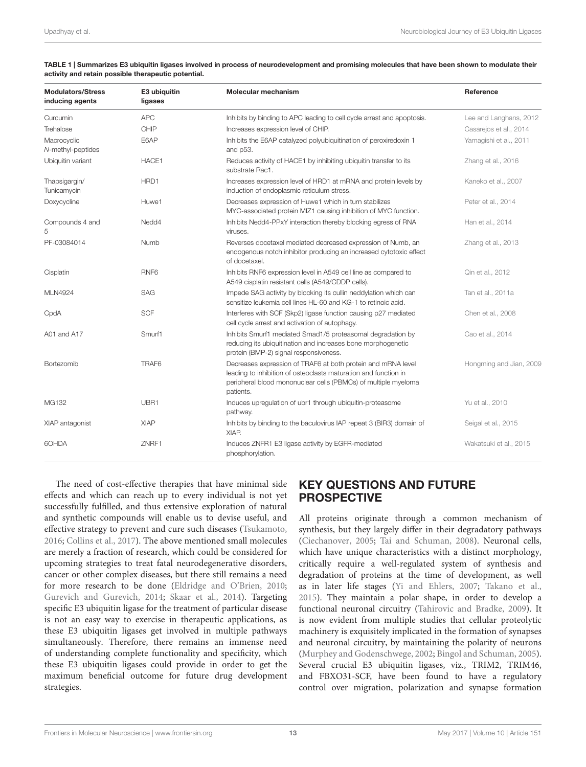| TABLE 1   Summarizes E3 ubiquitin ligases involved in process of neurodevelopment and promising molecules that have been shown to modulate their |
|--------------------------------------------------------------------------------------------------------------------------------------------------|
| activity and retain possible therapeutic potential.                                                                                              |

| <b>Modulators/Stress</b><br>inducing agents | E3 ubiquitin<br>ligases | Molecular mechanism                                                                                                                                                                                            | Reference               |
|---------------------------------------------|-------------------------|----------------------------------------------------------------------------------------------------------------------------------------------------------------------------------------------------------------|-------------------------|
| Curcumin                                    | <b>APC</b>              | Inhibits by binding to APC leading to cell cycle arrest and apoptosis.                                                                                                                                         | Lee and Langhans, 2012  |
| Trehalose                                   | CHIP                    | Increases expression level of CHIP.                                                                                                                                                                            | Casarejos et al., 2014  |
| Macrocyclic<br>N-methyl-peptides            | E6AP                    | Inhibits the E6AP catalyzed polyubiquitination of peroxiredoxin 1<br>and p53.                                                                                                                                  | Yamagishi et al., 2011  |
| Ubiquitin variant                           | HACE1                   | Reduces activity of HACE1 by inhibiting ubiquitin transfer to its<br>substrate Rac1.                                                                                                                           | Zhang et al., 2016      |
| Thapsigargin/<br>Tunicamycin                | HRD1                    | Increases expression level of HRD1 at mRNA and protein levels by<br>induction of endoplasmic reticulum stress.                                                                                                 | Kaneko et al., 2007     |
| Doxycycline                                 | Huwe1                   | Decreases expression of Huwe1 which in turn stabilizes<br>MYC-associated protein MIZ1 causing inhibition of MYC function.                                                                                      | Peter et al., 2014      |
| Compounds 4 and<br>5                        | Nedd4                   | Inhibits Nedd4-PPxY interaction thereby blocking egress of RNA<br>viruses.                                                                                                                                     | Han et al., 2014        |
| PF-03084014                                 | Numb                    | Reverses docetaxel mediated decreased expression of Numb, an<br>endogenous notch inhibitor producing an increased cytotoxic effect<br>of docetaxel.                                                            | Zhang et al., 2013      |
| Cisplatin                                   | RNF <sub>6</sub>        | Inhibits RNF6 expression level in A549 cell line as compared to<br>A549 cisplatin resistant cells (A549/CDDP cells).                                                                                           | Qin et al., 2012        |
| <b>MLN4924</b>                              | <b>SAG</b>              | Impede SAG activity by blocking its cullin neddylation which can<br>sensitize leukemia cell lines HL-60 and KG-1 to retinoic acid.                                                                             | Tan et al., 2011a       |
| CpdA                                        | <b>SCF</b>              | Interferes with SCF (Skp2) ligase function causing p27 mediated<br>cell cycle arrest and activation of autophagy.                                                                                              | Chen et al., 2008       |
| A01 and A17                                 | Smurf1                  | Inhibits Smurf1 mediated Smad1/5 proteasomal degradation by<br>reducing its ubiquitination and increases bone morphogenetic<br>protein (BMP-2) signal responsiveness.                                          | Cao et al., 2014        |
| Bortezomib                                  | TRAF <sub>6</sub>       | Decreases expression of TRAF6 at both protein and mRNA level<br>leading to inhibition of osteoclasts maturation and function in<br>peripheral blood mononuclear cells (PBMCs) of multiple myeloma<br>patients. | Hongming and Jian, 2009 |
| MG132                                       | UBR1                    | Induces upregulation of ubr1 through ubiquitin-proteasome<br>pathway.                                                                                                                                          | Yu et al., 2010         |
| XIAP antagonist                             | <b>XIAP</b>             | Inhibits by binding to the baculovirus IAP repeat 3 (BIR3) domain of<br>XIAP.                                                                                                                                  | Seigal et al., 2015     |
| 6OHDA                                       | ZNRF1                   | Induces ZNFR1 E3 ligase activity by EGFR-mediated<br>phosphorylation.                                                                                                                                          | Wakatsuki et al., 2015  |

The need of cost-effective therapies that have minimal side effects and which can reach up to every individual is not yet successfully fulfilled, and thus extensive exploration of natural and synthetic compounds will enable us to devise useful, and effective strategy to prevent and cure such diseases (Tsukamoto, 2016; Collins et al., 2017). The above mentioned small molecules are merely a fraction of research, which could be considered for upcoming strategies to treat fatal neurodegenerative disorders, cancer or other complex diseases, but there still remains a need for more research to be done (Eldridge and O'Brien, 2010; Gurevich and Gurevich, 2014; Skaar et al., 2014). Targeting specific E3 ubiquitin ligase for the treatment of particular disease is not an easy way to exercise in therapeutic applications, as these E3 ubiquitin ligases get involved in multiple pathways simultaneously. Therefore, there remains an immense need of understanding complete functionality and specificity, which these E3 ubiquitin ligases could provide in order to get the maximum beneficial outcome for future drug development strategies.

## KEY QUESTIONS AND FUTURE PROSPECTIVE

All proteins originate through a common mechanism of synthesis, but they largely differ in their degradatory pathways (Ciechanover, 2005; Tai and Schuman, 2008). Neuronal cells, which have unique characteristics with a distinct morphology, critically require a well-regulated system of synthesis and degradation of proteins at the time of development, as well as in later life stages (Yi and Ehlers, 2007; Takano et al., 2015). They maintain a polar shape, in order to develop a functional neuronal circuitry (Tahirovic and Bradke, 2009). It is now evident from multiple studies that cellular proteolytic machinery is exquisitely implicated in the formation of synapses and neuronal circuitry, by maintaining the polarity of neurons (Murphey and Godenschwege, 2002; Bingol and Schuman, 2005). Several crucial E3 ubiquitin ligases, viz., TRIM2, TRIM46, and FBXO31-SCF, have been found to have a regulatory control over migration, polarization and synapse formation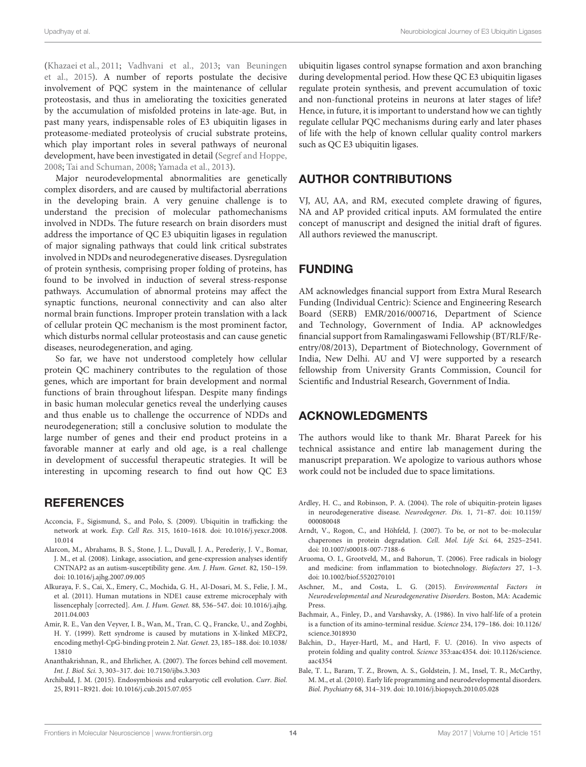(Khazaei et al., 2011; Vadhvani et al., 2013; van Beuningen et al., 2015). A number of reports postulate the decisive involvement of PQC system in the maintenance of cellular proteostasis, and thus in ameliorating the toxicities generated by the accumulation of misfolded proteins in late-age. But, in past many years, indispensable roles of E3 ubiquitin ligases in proteasome-mediated proteolysis of crucial substrate proteins, which play important roles in several pathways of neuronal development, have been investigated in detail (Segref and Hoppe, 2008; Tai and Schuman, 2008; Yamada et al., 2013).

Major neurodevelopmental abnormalities are genetically complex disorders, and are caused by multifactorial aberrations in the developing brain. A very genuine challenge is to understand the precision of molecular pathomechanisms involved in NDDs. The future research on brain disorders must address the importance of QC E3 ubiquitin ligases in regulation of major signaling pathways that could link critical substrates involved in NDDs and neurodegenerative diseases. Dysregulation of protein synthesis, comprising proper folding of proteins, has found to be involved in induction of several stress-response pathways. Accumulation of abnormal proteins may affect the synaptic functions, neuronal connectivity and can also alter normal brain functions. Improper protein translation with a lack of cellular protein QC mechanism is the most prominent factor, which disturbs normal cellular proteostasis and can cause genetic diseases, neurodegeneration, and aging.

So far, we have not understood completely how cellular protein QC machinery contributes to the regulation of those genes, which are important for brain development and normal functions of brain throughout lifespan. Despite many findings in basic human molecular genetics reveal the underlying causes and thus enable us to challenge the occurrence of NDDs and neurodegeneration; still a conclusive solution to modulate the large number of genes and their end product proteins in a favorable manner at early and old age, is a real challenge in development of successful therapeutic strategies. It will be interesting in upcoming research to find out how QC E3

#### **REFERENCES**

- Acconcia, F., Sigismund, S., and Polo, S. (2009). Ubiquitin in trafficking: the network at work. Exp. Cell Res. 315, 1610–1618. doi: 10.1016/j.yexcr.2008. 10.014
- Alarcon, M., Abrahams, B. S., Stone, J. L., Duvall, J. A., Perederiy, J. V., Bomar, J. M., et al. (2008). Linkage, association, and gene-expression analyses identify CNTNAP2 as an autism-susceptibility gene. Am. J. Hum. Genet. 82, 150–159. doi: 10.1016/j.ajhg.2007.09.005
- Alkuraya, F. S., Cai, X., Emery, C., Mochida, G. H., Al-Dosari, M. S., Felie, J. M., et al. (2011). Human mutations in NDE1 cause extreme microcephaly with lissencephaly [corrected]. Am. J. Hum. Genet. 88, 536–547. doi: 10.1016/j.ajhg. 2011.04.003
- Amir, R. E., Van den Veyver, I. B., Wan, M., Tran, C. Q., Francke, U., and Zoghbi, H. Y. (1999). Rett syndrome is caused by mutations in X-linked MECP2, encoding methyl-CpG-binding protein 2. Nat. Genet. 23, 185–188. doi: 10.1038/ 13810
- Ananthakrishnan, R., and Ehrlicher, A. (2007). The forces behind cell movement. Int. J. Biol. Sci. 3, 303–317. doi: 10.7150/ijbs.3.303
- Archibald, J. M. (2015). Endosymbiosis and eukaryotic cell evolution. Curr. Biol. 25, R911–R921. doi: 10.1016/j.cub.2015.07.055

ubiquitin ligases control synapse formation and axon branching during developmental period. How these QC E3 ubiquitin ligases regulate protein synthesis, and prevent accumulation of toxic and non-functional proteins in neurons at later stages of life? Hence, in future, it is important to understand how we can tightly regulate cellular PQC mechanisms during early and later phases of life with the help of known cellular quality control markers such as QC E3 ubiquitin ligases.

#### AUTHOR CONTRIBUTIONS

VJ, AU, AA, and RM, executed complete drawing of figures, NA and AP provided critical inputs. AM formulated the entire concept of manuscript and designed the initial draft of figures. All authors reviewed the manuscript.

## FUNDING

AM acknowledges financial support from Extra Mural Research Funding (Individual Centric): Science and Engineering Research Board (SERB) EMR/2016/000716, Department of Science and Technology, Government of India. AP acknowledges financial support from Ramalingaswami Fellowship (BT/RLF/Reentry/08/2013), Department of Biotechnology, Government of India, New Delhi. AU and VJ were supported by a research fellowship from University Grants Commission, Council for Scientific and Industrial Research, Government of India.

## ACKNOWLEDGMENTS

The authors would like to thank Mr. Bharat Pareek for his technical assistance and entire lab management during the manuscript preparation. We apologize to various authors whose work could not be included due to space limitations.

- Ardley, H. C., and Robinson, P. A. (2004). The role of ubiquitin-protein ligases in neurodegenerative disease. Neurodegener. Dis. 1, 71–87. doi: 10.1159/ 000080048
- Arndt, V., Rogon, C., and Höhfeld, J. (2007). To be, or not to be–molecular chaperones in protein degradation. Cell. Mol. Life Sci. 64, 2525–2541. doi: 10.1007/s00018-007-7188-6
- Aruoma, O. I., Grootveld, M., and Bahorun, T. (2006). Free radicals in biology and medicine: from inflammation to biotechnology. Biofactors 27, 1–3. doi: 10.1002/biof.5520270101
- Aschner, M., and Costa, L. G. (2015). Environmental Factors in Neurodevelopmental and Neurodegenerative Disorders. Boston, MA: Academic Press.
- Bachmair, A., Finley, D., and Varshavsky, A. (1986). In vivo half-life of a protein is a function of its amino-terminal residue. Science 234, 179–186. doi: 10.1126/ science.3018930
- Balchin, D., Hayer-Hartl, M., and Hartl, F. U. (2016). In vivo aspects of protein folding and quality control. Science 353:aac4354. doi: 10.1126/science. aac4354
- Bale, T. L., Baram, T. Z., Brown, A. S., Goldstein, J. M., Insel, T. R., McCarthy, M. M., et al. (2010). Early life programming and neurodevelopmental disorders. Biol. Psychiatry 68, 314–319. doi: 10.1016/j.biopsych.2010.05.028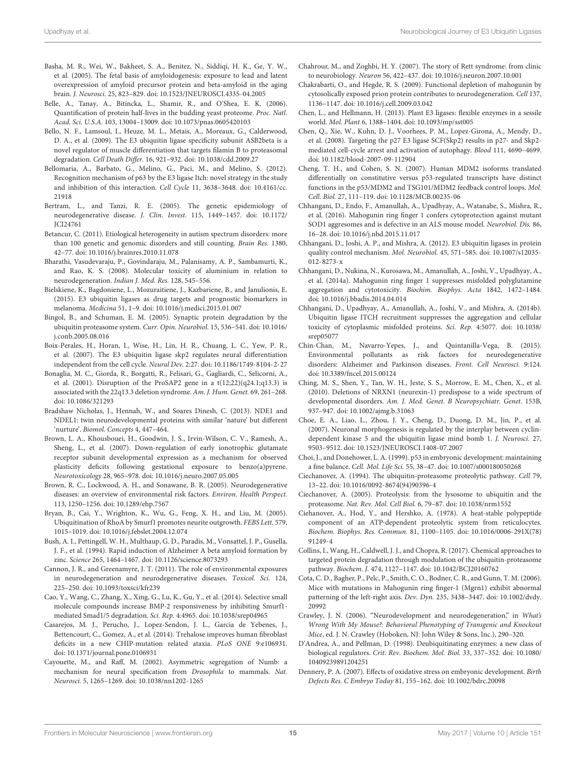- Basha, M. R., Wei, W., Bakheet, S. A., Benitez, N., Siddiqi, H. K., Ge, Y. W., et al. (2005). The fetal basis of amyloidogenesis: exposure to lead and latent overexpression of amyloid precursor protein and beta-amyloid in the aging brain. J. Neurosci. 25, 823–829. doi: 10.1523/JNEUROSCI.4335-04.2005
- Belle, A., Tanay, A., Bitincka, L., Shamir, R., and O'Shea, E. K. (2006). Quantification of protein half-lives in the budding yeast proteome. Proc. Natl. Acad. Sci. U.S.A. 103, 13004–13009. doi: 10.1073/pnas.0605420103
- Bello, N. F., Lamsoul, I., Heuze, M. L., Metais, A., Moreaux, G., Calderwood, D. A., et al. (2009). The E3 ubiquitin ligase specificity subunit ASB2beta is a novel regulator of muscle differentiation that targets filamin B to proteasomal degradation. Cell Death Differ. 16, 921–932. doi: 10.1038/cdd.2009.27
- Bellomaria, A., Barbato, G., Melino, G., Paci, M., and Melino, S. (2012). Recognition mechanism of p63 by the E3 ligase Itch: novel strategy in the study and inhibition of this interaction. Cell Cycle 11, 3638–3648. doi: 10.4161/cc. 21918
- Bertram, L., and Tanzi, R. E. (2005). The genetic epidemiology of neurodegenerative disease. J. Clin. Invest. 115, 1449–1457. doi: 10.1172/ JCI24761
- Betancur, C. (2011). Etiological heterogeneity in autism spectrum disorders: more than 100 genetic and genomic disorders and still counting. Brain Res. 1380, 42–77. doi: 10.1016/j.brainres.2010.11.078
- Bharathi, Vasudevaraju, P., Govindaraju, M., Palanisamy, A. P., Sambamurti, K., and Rao, K. S. (2008). Molecular toxicity of aluminium in relation to neurodegeneration. Indian J. Med. Res. 128, 545–556.
- Bielskiene, K., Bagdoniene, L., Mozuraitiene, J., Kazbariene, B., and Janulionis, E. (2015). E3 ubiquitin ligases as drug targets and prognostic biomarkers in melanoma. Medicina 51, 1–9. doi: 10.1016/j.medici.2015.01.007
- Bingol, B., and Schuman, E. M. (2005). Synaptic protein degradation by the ubiquitin proteasome system. Curr. Opin. Neurobiol. 15, 536–541. doi: 10.1016/ j.conb.2005.08.016
- Boix-Perales, H., Horan, I., Wise, H., Lin, H. R., Chuang, L. C., Yew, P. R., et al. (2007). The E3 ubiquitin ligase skp2 regulates neural differentiation independent from the cell cycle. Neural Dev. 2:27. doi: 10.1186/1749-8104-2-27
- Bonaglia, M. C., Giorda, R., Borgatti, R., Felisari, G., Gagliardi, C., Selicorni, A., et al. (2001). Disruption of the ProSAP2 gene in a t(12;22)(q24.1;q13.3) is associated with the 22q13.3 deletion syndrome. Am. J. Hum. Genet. 69, 261–268. doi: 10.1086/321293
- Bradshaw Nicholas, J., Hennah, W., and Soares Dinesh, C. (2013). NDE1 and NDEL1: twin neurodevelopmental proteins with similar 'nature' but different 'nurture'. Biomol. Concepts 4, 447–464.
- Brown, L. A., Khousbouei, H., Goodwin, J. S., Irvin-Wilson, C. V., Ramesh, A., Sheng, L., et al. (2007). Down-regulation of early ionotrophic glutamate receptor subunit developmental expression as a mechanism for observed plasticity deficits following gestational exposure to benzo(a)pyrene. Neurotoxicology 28, 965–978. doi: 10.1016/j.neuro.2007.05.005
- Brown, R. C., Lockwood, A. H., and Sonawane, B. R. (2005). Neurodegenerative diseases: an overview of environmental risk factors. Environ. Health Perspect. 113, 1250–1256. doi: 10.1289/ehp.7567
- Bryan, B., Cai, Y., Wrighton, K., Wu, G., Feng, X. H., and Liu, M. (2005). Ubiquitination of RhoA by Smurf1 promotes neurite outgrowth. FEBS Lett. 579, 1015–1019. doi: 10.1016/j.febslet.2004.12.074
- Bush, A. I., Pettingell, W. H., Multhaup, G. D., Paradis, M., Vonsattel, J. P., Gusella, J. F., et al. (1994). Rapid induction of Alzheimer A beta amyloid formation by zinc. Science 265, 1464–1467. doi: 10.1126/science.8073293
- Cannon, J. R., and Greenamyre, J. T. (2011). The role of environmental exposures in neurodegeneration and neurodegenerative diseases. Toxicol. Sci. 124, 225–250. doi: 10.1093/toxsci/kfr239
- Cao, Y., Wang, C., Zhang, X., Xing, G., Lu, K., Gu, Y., et al. (2014). Selective small molecule compounds increase BMP-2 responsiveness by inhibiting Smurf1 mediated Smad1/5 degradation. Sci. Rep. 4:4965. doi: 10.1038/srep04965
- Casarejos, M. J., Perucho, J., Lopez-Sendon, J. L., Garcia de Yebenes, J., Bettencourt, C., Gomez, A., et al. (2014). Trehalose improves human fibroblast deficits in a new CHIP-mutation related ataxia. PLoS ONE 9:e106931. doi: 10.1371/journal.pone.0106931
- Cayouette, M., and Raff, M. (2002). Asymmetric segregation of Numb: a mechanism for neural specification from Drosophila to mammals. Nat. Neurosci. 5, 1265–1269. doi: 10.1038/nn1202-1265
- Chahrour, M., and Zoghbi, H. Y. (2007). The story of Rett syndrome: from clinic to neurobiology. Neuron 56, 422–437. doi: 10.1016/j.neuron.2007.10.001
- Chakrabarti, O., and Hegde, R. S. (2009). Functional depletion of mahogunin by cytosolically exposed prion protein contributes to neurodegeneration. Cell 137, 1136–1147. doi: 10.1016/j.cell.2009.03.042
- Chen, L., and Hellmann, H. (2013). Plant E3 ligases: flexible enzymes in a sessile world. Mol. Plant 6, 1388–1404. doi: 10.1093/mp/sst005
- Chen, Q., Xie, W., Kuhn, D. J., Voorhees, P. M., Lopez-Girona, A., Mendy, D., et al. (2008). Targeting the p27 E3 ligase SCF(Skp2) results in p27- and Skp2 mediated cell-cycle arrest and activation of autophagy. Blood 111, 4690–4699. doi: 10.1182/blood-2007-09-112904
- Cheng, T. H., and Cohen, S. N. (2007). Human MDM2 isoforms translated differentially on constitutive versus p53-regulated transcripts have distinct functions in the p53/MDM2 and TSG101/MDM2 feedback control loops. Mol. Cell. Biol. 27, 111–119. doi: 10.1128/MCB.00235-06
- Chhangani, D., Endo, F., Amanullah, A., Upadhyay, A., Watanabe, S., Mishra, R., et al. (2016). Mahogunin ring finger 1 confers cytoprotection against mutant SOD1 aggresomes and is defective in an ALS mouse model. Neurobiol. Dis. 86, 16–28. doi: 10.1016/j.nbd.2015.11.017
- Chhangani, D., Joshi, A. P., and Mishra, A. (2012). E3 ubiquitin ligases in protein quality control mechanism. Mol. Neurobiol. 45, 571–585. doi: 10.1007/s12035- 012-8273-x
- Chhangani, D., Nukina, N., Kurosawa, M., Amanullah, A., Joshi, V., Upadhyay, A., et al. (2014a). Mahogunin ring finger 1 suppresses misfolded polyglutamine aggregation and cytotoxicity. Biochim. Biophys. Acta 1842, 1472–1484. doi: 10.1016/j.bbadis.2014.04.014
- Chhangani, D., Upadhyay, A., Amanullah, A., Joshi, V., and Mishra, A. (2014b). Ubiquitin ligase ITCH recruitment suppresses the aggregation and cellular toxicity of cytoplasmic misfolded proteins. Sci. Rep. 4:5077. doi: 10.1038/ srep05077
- Chin-Chan, M., Navarro-Yepes, J., and Quintanilla-Vega, B. (2015). Environmental pollutants as risk factors for neurodegenerative disorders: Alzheimer and Parkinson diseases. Front. Cell Neurosci. 9:124. doi: 10.3389/fncel.2015.00124
- Ching, M. S., Shen, Y., Tan, W. H., Jeste, S. S., Morrow, E. M., Chen, X., et al. (2010). Deletions of NRXN1 (neurexin-1) predispose to a wide spectrum of developmental disorders. Am. J. Med. Genet. B Neuropsychiatr. Genet. 153B, 937–947. doi: 10.1002/ajmg.b.31063
- Choe, E. A., Liao, L., Zhou, J. Y., Cheng, D., Duong, D. M., Jin, P., et al. (2007). Neuronal morphogenesis is regulated by the interplay between cyclindependent kinase 5 and the ubiquitin ligase mind bomb 1. J. Neurosci. 27, 9503–9512. doi: 10.1523/JNEUROSCI.1408-07.2007
- Choi, J., and Donehower, L. A. (1999). p53 in embryonic development: maintaining a fine balance. Cell. Mol. Life Sci. 55, 38–47. doi: 10.1007/s000180050268
- Ciechanover, A. (1994). The ubiquitin-proteasome proteolytic pathway. Cell 79, 13–22. doi: 10.1016/0092-8674(94)90396-4
- Ciechanover, A. (2005). Proteolysis: from the lysosome to ubiquitin and the proteasome. Nat. Rev. Mol. Cell Biol. 6, 79–87. doi: 10.1038/nrm1552
- Ciehanover, A., Hod, Y., and Hershko, A. (1978). A heat-stable polypeptide component of an ATP-dependent proteolytic system from reticulocytes. Biochem. Biophys. Res. Commun. 81, 1100–1105. doi: 10.1016/0006-291X(78) 91249-4
- Collins, I., Wang, H., Caldwell, J. J., and Chopra, R. (2017). Chemical approaches to targeted protein degradation through modulation of the ubiquitin-proteasome pathway. Biochem. J. 474, 1127–1147. doi: 10.1042/BCJ20160762
- Cota, C. D., Bagher, P., Pelc, P., Smith, C. O., Bodner, C. R., and Gunn, T. M. (2006). Mice with mutations in Mahogunin ring finger-1 (Mgrn1) exhibit abnormal patterning of the left-right axis. Dev. Dyn. 235, 3438–3447. doi: 10.1002/dvdy. 20992
- Crawley, J. N. (2006). "Neurodevelopment and neurodegeneration," in What's Wrong With My Mouse?: Behavioral Phenotyping of Transgenic and Knockout Mice, ed. J. N. Crawley (Hoboken, NJ: John Wiley & Sons, Inc.), 290–320.
- D'Andrea, A., and Pellman, D. (1998). Deubiquitinating enzymes: a new class of biological regulators. Crit. Rev. Biochem. Mol. Biol. 33, 337–352. doi: 10.1080/ 10409239891204251
- Dennery, P. A. (2007). Effects of oxidative stress on embryonic development. Birth Defects Res. C Embryo Today 81, 155–162. doi: 10.1002/bdrc.20098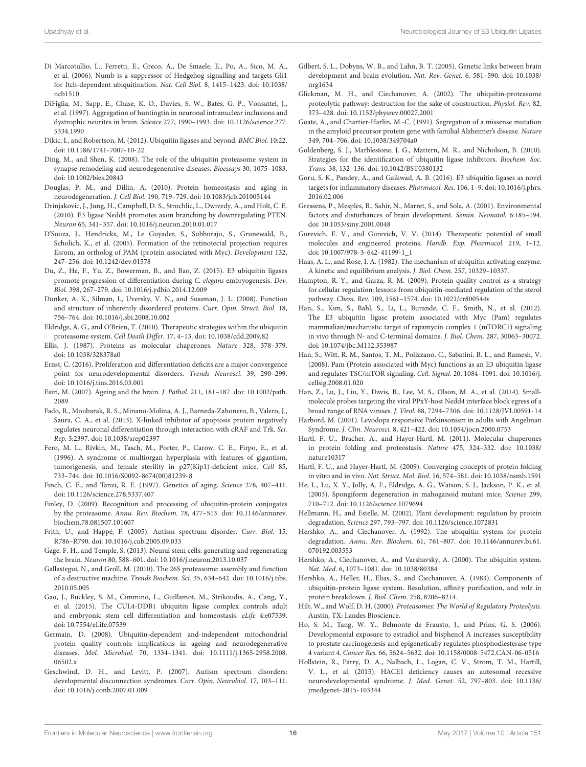- Di Marcotullio, L., Ferretti, E., Greco, A., De Smaele, E., Po, A., Sico, M. A., et al. (2006). Numb is a suppressor of Hedgehog signalling and targets Gli1 for Itch-dependent ubiquitination. Nat. Cell Biol. 8, 1415–1423. doi: 10.1038/ ncb1510
- DiFiglia, M., Sapp, E., Chase, K. O., Davies, S. W., Bates, G. P., Vonsattel, J., et al. (1997). Aggregation of huntingtin in neuronal intranuclear inclusions and dystrophic neurites in brain. Science 277, 1990–1993. doi: 10.1126/science.277. 5334.1990
- Dikic, I., and Robertson, M. (2012). Ubiquitin ligases and beyond. BMC Biol. 10:22. doi: 10.1186/1741-7007-10-22
- Ding, M., and Shen, K. (2008). The role of the ubiquitin proteasome system in synapse remodeling and neurodegenerative diseases. Bioessays 30, 1075–1083. doi: 10.1002/bies.20843
- Douglas, P. M., and Dillin, A. (2010). Protein homeostasis and aging in neurodegeneration. J. Cell Biol. 190, 719–729. doi: 10.1083/jcb.201005144
- Drinjakovic, J., Jung, H., Campbell, D. S., Strochlic, L., Dwivedy, A., and Holt, C. E. (2010). E3 ligase Nedd4 promotes axon branching by downregulating PTEN. Neuron 65, 341–357. doi: 10.1016/j.neuron.2010.01.017
- D'Souza, J., Hendricks, M., Le Guyader, S., Subburaju, S., Grunewald, B., Scholich, K., et al. (2005). Formation of the retinotectal projection requires Esrom, an ortholog of PAM (protein associated with Myc). Development 132, 247–256. doi: 10.1242/dev.01578
- Du, Z., He, F., Yu, Z., Bowerman, B., and Bao, Z. (2015). E3 ubiquitin ligases promote progression of differentiation during C. elegans embryogenesis. Dev. Biol. 398, 267–279. doi: 10.1016/j.ydbio.2014.12.009
- Dunker, A. K., Silman, I., Uversky, V. N., and Sussman, J. L. (2008). Function and structure of inherently disordered proteins. Curr. Opin. Struct. Biol. 18, 756–764. doi: 10.1016/j.sbi.2008.10.002
- Eldridge, A. G., and O'Brien, T. (2010). Therapeutic strategies within the ubiquitin proteasome system. Cell Death Differ. 17, 4–13. doi: 10.1038/cdd.2009.82
- Ellis, J. (1987). Proteins as molecular chaperones. Nature 328, 378–379. doi: 10.1038/328378a0
- Ernst, C. (2016). Proliferation and differentiation deficits are a major convergence point for neurodevelopmental disorders. Trends Neurosci. 39, 290–299. doi: 10.1016/j.tins.2016.03.001
- Esiri, M. (2007). Ageing and the brain. J. Pathol. 211, 181–187. doi: 10.1002/path. 2089
- Fado, R., Moubarak, R. S., Minano-Molina, A. J., Barneda-Zahonero, B., Valero, J., Saura, C. A., et al. (2013). X-linked inhibitor of apoptosis protein negatively regulates neuronal differentiation through interaction with cRAF and Trk. Sci. Rep. 3:2397. doi: 10.1038/srep02397
- Fero, M. L., Rivkin, M., Tasch, M., Porter, P., Carow, C. E., Firpo, E., et al. (1996). A syndrome of multiorgan hyperplasia with features of gigantism, tumorigenesis, and female sterility in p27(Kip1)-deficient mice. Cell 85, 733–744. doi: 10.1016/S0092-8674(00)81239-8
- Finch, C. E., and Tanzi, R. E. (1997). Genetics of aging. Science 278, 407–411. doi: 10.1126/science.278.5337.407
- Finley, D. (2009). Recognition and processing of ubiquitin-protein conjugates by the proteasome. Annu. Rev. Biochem. 78, 477–513. doi: 10.1146/annurev. biochem.78.081507.101607
- Frith, U., and Happé, F. (2005). Autism spectrum disorder. Curr. Biol. 15, R786–R790. doi: 10.1016/j.cub.2005.09.033
- Gage, F. H., and Temple, S. (2013). Neural stem cells: generating and regenerating the brain. Neuron 80, 588–601. doi: 10.1016/j.neuron.2013.10.037
- Gallastegui, N., and Groll, M. (2010). The 26S proteasome: assembly and function of a destructive machine. Trends Biochem. Sci. 35, 634–642. doi: 10.1016/j.tibs. 2010.05.005
- Gao, J., Buckley, S. M., Cimmino, L., Guillamot, M., Strikoudis, A., Cang, Y., et al. (2015). The CUL4-DDB1 ubiquitin ligase complex controls adult and embryonic stem cell differentiation and homeostasis. eLife 4:e07539. doi: 10.7554/eLife.07539
- Germain, D. (2008). Ubiquitin-dependent and-independent mitochondrial protein quality controls: implications in ageing and neurodegenerative diseases. Mol. Microbiol. 70, 1334–1341. doi: 10.1111/j.1365-2958.2008. 06502.x
- Geschwind, D. H., and Levitt, P. (2007). Autism spectrum disorders: developmental disconnection syndromes. Curr. Opin. Neurobiol. 17, 103–111. doi: 10.1016/j.conb.2007.01.009
- Gilbert, S. L., Dobyns, W. B., and Lahn, B. T. (2005). Genetic links between brain development and brain evolution. Nat. Rev. Genet. 6, 581–590. doi: 10.1038/ nrg1634
- Glickman, M. H., and Ciechanover, A. (2002). The ubiquitin-proteasome proteolytic pathway: destruction for the sake of construction. Physiol. Rev. 82, 373–428. doi: 10.1152/physrev.00027.2001
- Goate, A., and Chartier-Harlin, M.-C. (1991). Segregation of a missense mutation in the amyloid precursor protein gene with familial Alzheimer's disease. Nature 349, 704–706. doi: 10.1038/349704a0
- Goldenberg, S. J., Marblestone, J. G., Mattern, M. R., and Nicholson, B. (2010). Strategies for the identification of ubiquitin ligase inhibitors. Biochem. Soc. Trans. 38, 132–136. doi: 10.1042/BST0380132
- Goru, S. K., Pandey, A., and Gaikwad, A. B. (2016). E3 ubiquitin ligases as novel targets for inflammatory diseases. Pharmacol. Res. 106, 1–9. doi: 10.1016/j.phrs. 2016.02.006
- Gressens, P., Mesples, B., Sahir, N., Marret, S., and Sola, A. (2001). Environmental factors and disturbances of brain development. Semin. Neonatol. 6:185–194. doi: 10.1053/siny.2001.0048
- Gurevich, E. V., and Gurevich, V. V. (2014). Therapeutic potential of small molecules and engineered proteins. Handb. Exp. Pharmacol. 219, 1–12. doi: 10.1007/978-3-642-41199-1\_1
- Haas, A. L., and Rose, I. A. (1982). The mechanism of ubiquitin activating enzyme. A kinetic and equilibrium analysis. J. Biol. Chem. 257, 10329–10337.
- Hampton, R. Y., and Garza, R. M. (2009). Protein quality control as a strategy for cellular regulation: lessons from ubiquitin-mediated regulation of the sterol pathway. Chem. Rev. 109, 1561–1574. doi: 10.1021/cr800544v
- Han, S., Kim, S., Bahl, S., Li, L., Burande, C. F., Smith, N., et al. (2012). The E3 ubiquitin ligase protein associated with Myc (Pam) regulates mammalian/mechanistic target of rapamycin complex 1 (mTORC1) signaling in vivo through N- and C-terminal domains. J. Biol. Chem. 287, 30063–30072. doi: 10.1074/jbc.M112.353987
- Han, S., Witt, R. M., Santos, T. M., Polizzano, C., Sabatini, B. L., and Ramesh, V. (2008). Pam (Protein associated with Myc) functions as an E3 ubiquitin ligase and regulates TSC/mTOR signaling. Cell. Signal. 20, 1084–1091. doi: 10.1016/j. cellsig.2008.01.020
- Han, Z., Lu, J., Liu, Y., Davis, B., Lee, M. S., Olson, M. A., et al. (2014). Smallmolecule probes targeting the viral PPxY-host Nedd4 interface block egress of a broad range of RNA viruses. J. Virol. 88, 7294–7306. doi: 10.1128/JVI.00591-14
- Harbord, M. (2001). Levodopa responsive Parkinsonism in adults with Angelman Syndrome. J. Clin. Neurosci. 8, 421–422. doi: 10.1054/jocn.2000.0753
- Hartl, F. U., Bracher, A., and Hayer-Hartl, M. (2011). Molecular chaperones in protein folding and proteostasis. Nature 475, 324–332. doi: 10.1038/ nature10317
- Hartl, F. U., and Hayer-Hartl, M. (2009). Converging concepts of protein folding in vitro and in vivo. Nat. Struct. Mol. Biol. 16, 574–581. doi: 10.1038/nsmb.1591
- He, L., Lu, X. Y., Jolly, A. F., Eldridge, A. G., Watson, S. J., Jackson, P. K., et al. (2003). Spongiform degeneration in mahoganoid mutant mice. Science 299, 710–712. doi: 10.1126/science.1079694
- Hellmann, H., and Estelle, M. (2002). Plant development: regulation by protein degradation. Science 297, 793–797. doi: 10.1126/science.1072831
- Hershko, A., and Ciechanover, A. (1992). The ubiquitin system for protein degradation. Annu. Rev. Biochem. 61, 761–807. doi: 10.1146/annurev.bi.61. 070192.003553
- Hershko, A., Ciechanover, A., and Varshavsky, A. (2000). The ubiquitin system. Nat. Med. 6, 1073–1081. doi: 10.1038/80384
- Hershko, A., Heller, H., Elias, S., and Ciechanover, A. (1983). Components of ubiquitin-protein ligase system. Resolution, affinity purification, and role in protein breakdown. J. Biol. Chem. 258, 8206–8214.
- Hilt, W., and Wolf, D. H. (2000). Proteasomes: The World of Regulatory Proteolysis. Austin, TX: Landes Bioscience.
- Ho, S. M., Tang, W. Y., Belmonte de Frausto, J., and Prins, G. S. (2006). Developmental exposure to estradiol and bisphenol A increases susceptibility to prostate carcinogenesis and epigenetically regulates phosphodiesterase type 4 variant 4. Cancer Res. 66, 5624–5632. doi: 10.1158/0008-5472.CAN-06-0516
- Hollstein, R., Parry, D. A., Nalbach, L., Logan, C. V., Strom, T. M., Hartill, V. L., et al. (2015). HACE1 deficiency causes an autosomal recessive neurodevelopmental syndrome. J. Med. Genet. 52, 797–803. doi: 10.1136/ jmedgenet-2015-103344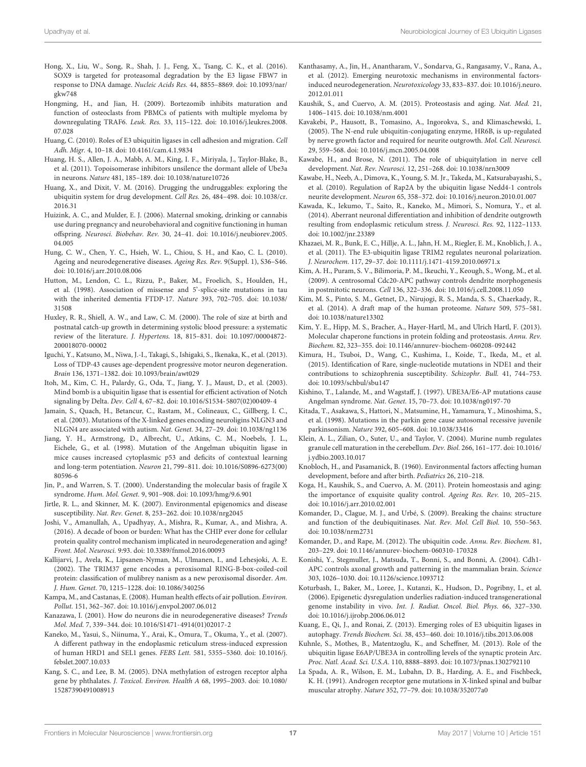- Hong, X., Liu, W., Song, R., Shah, J. J., Feng, X., Tsang, C. K., et al. (2016). SOX9 is targeted for proteasomal degradation by the E3 ligase FBW7 in response to DNA damage. Nucleic Acids Res. 44, 8855–8869. doi: 10.1093/nar/ gkw748
- Hongming, H., and Jian, H. (2009). Bortezomib inhibits maturation and function of osteoclasts from PBMCs of patients with multiple myeloma by downregulating TRAF6. Leuk. Res. 33, 115–122. doi: 10.1016/j.leukres.2008. 07.028
- Huang, C. (2010). Roles of E3 ubiquitin ligases in cell adhesion and migration. Cell Adh. Migr. 4, 10–18. doi: 10.4161/cam.4.1.9834
- Huang, H. S., Allen, J. A., Mabb, A. M., King, I. F., Miriyala, J., Taylor-Blake, B., et al. (2011). Topoisomerase inhibitors unsilence the dormant allele of Ube3a in neurons. Nature 481, 185–189. doi: 10.1038/nature10726
- Huang, X., and Dixit, V. M. (2016). Drugging the undruggables: exploring the ubiquitin system for drug development. Cell Res. 26, 484–498. doi: 10.1038/cr. 2016.31
- Huizink, A. C., and Mulder, E. J. (2006). Maternal smoking, drinking or cannabis use during pregnancy and neurobehavioral and cognitive functioning in human offspring. Neurosci. Biobehav. Rev. 30, 24–41. doi: 10.1016/j.neubiorev.2005. 04.005
- Hung, C. W., Chen, Y. C., Hsieh, W. L., Chiou, S. H., and Kao, C. L. (2010). Ageing and neurodegenerative diseases. Ageing Res. Rev. 9(Suppl. 1), S36–S46. doi: 10.1016/j.arr.2010.08.006
- Hutton, M., Lendon, C. L., Rizzu, P., Baker, M., Froelich, S., Houlden, H., et al. (1998). Association of missense and 5'-splice-site mutations in tau with the inherited dementia FTDP-17. Nature 393, 702–705. doi: 10.1038/ 31508
- Huxley, R. R., Shiell, A. W., and Law, C. M. (2000). The role of size at birth and postnatal catch-up growth in determining systolic blood pressure: a systematic review of the literature. J. Hypertens. 18, 815–831. doi: 10.1097/00004872- 200018070-00002
- Iguchi, Y., Katsuno, M., Niwa, J.-I., Takagi, S., Ishigaki, S., Ikenaka, K., et al. (2013). Loss of TDP-43 causes age-dependent progressive motor neuron degeneration. Brain 136, 1371–1382. doi: 10.1093/brain/awt029
- Itoh, M., Kim, C. H., Palardy, G., Oda, T., Jiang, Y. J., Maust, D., et al. (2003). Mind bomb is a ubiquitin ligase that is essential for efficient activation of Notch signaling by Delta. Dev. Cell 4, 67–82. doi: 10.1016/S1534-5807(02)00409-4
- Jamain, S., Quach, H., Betancur, C., Rastam, M., Colineaux, C., Gillberg, I. C., et al. (2003). Mutations of the X-linked genes encoding neuroligins NLGN3 and NLGN4 are associated with autism. Nat. Genet. 34, 27–29. doi: 10.1038/ng1136
- Jiang, Y. H., Armstrong, D., Albrecht, U., Atkins, C. M., Noebels, J. L., Eichele, G., et al. (1998). Mutation of the Angelman ubiquitin ligase in mice causes increased cytoplasmic p53 and deficits of contextual learning and long-term potentiation. Neuron 21, 799–811. doi: 10.1016/S0896-6273(00) 80596-6
- Jin, P., and Warren, S. T. (2000). Understanding the molecular basis of fragile X syndrome. Hum. Mol. Genet. 9, 901–908. doi: 10.1093/hmg/9.6.901
- Jirtle, R. L., and Skinner, M. K. (2007). Environmental epigenomics and disease susceptibility. Nat. Rev. Genet. 8, 253–262. doi: 10.1038/nrg2045
- Joshi, V., Amanullah, A., Upadhyay, A., Mishra, R., Kumar, A., and Mishra, A. (2016). A decade of boon or burden: What has the CHIP ever done for cellular protein quality control mechanism implicated in neurodegeneration and aging? Front. Mol. Neurosci. 9:93. doi: 10.3389/fnmol.2016.00093
- Kallijarvi, J., Avela, K., Lipsanen-Nyman, M., Ulmanen, I., and Lehesjoki, A. E. (2002). The TRIM37 gene encodes a peroxisomal RING-B-box-coiled-coil protein: classification of mulibrey nanism as a new peroxisomal disorder. Am. J. Hum. Genet. 70, 1215–1228. doi: 10.1086/340256
- Kampa, M., and Castanas, E. (2008). Human health effects of air pollution. Environ. Pollut. 151, 362–367. doi: 10.1016/j.envpol.2007.06.012
- Kanazawa, I. (2001). How do neurons die in neurodegenerative diseases? Trends Mol. Med. 7, 339–344. doi: 10.1016/S1471-4914(01)02017-2
- Kaneko, M., Yasui, S., Niinuma, Y., Arai, K., Omura, T., Okuma, Y., et al. (2007). A different pathway in the endoplasmic reticulum stress-induced expression of human HRD1 and SEL1 genes. FEBS Lett. 581, 5355–5360. doi: 10.1016/j. febslet.2007.10.033
- Kang, S. C., and Lee, B. M. (2005). DNA methylation of estrogen receptor alpha gene by phthalates. J. Toxicol. Environ. Health A 68, 1995–2003. doi: 10.1080/ 15287390491008913
- Kanthasamy, A., Jin, H., Anantharam, V., Sondarva, G., Rangasamy, V., Rana, A., et al. (2012). Emerging neurotoxic mechanisms in environmental factorsinduced neurodegeneration. Neurotoxicology 33, 833–837. doi: 10.1016/j.neuro. 2012.01.011
- Kaushik, S., and Cuervo, A. M. (2015). Proteostasis and aging. Nat. Med. 21, 1406–1415. doi: 10.1038/nm.4001
- Kavakebi, P., Hausott, B., Tomasino, A., Ingorokva, S., and Klimaschewski, L. (2005). The N-end rule ubiquitin-conjugating enzyme, HR6B, is up-regulated by nerve growth factor and required for neurite outgrowth. Mol. Cell. Neurosci. 29, 559–568. doi: 10.1016/j.mcn.2005.04.008
- Kawabe, H., and Brose, N. (2011). The role of ubiquitylation in nerve cell development. Nat. Rev. Neurosci. 12, 251–268. doi: 10.1038/nrn3009
- Kawabe, H., Neeb, A., Dimova, K., Young, S. M. Jr., Takeda, M., Katsurabayashi, S., et al. (2010). Regulation of Rap2A by the ubiquitin ligase Nedd4-1 controls neurite development. Neuron 65, 358–372. doi: 10.1016/j.neuron.2010.01.007
- Kawada, K., Iekumo, T., Saito, R., Kaneko, M., Mimori, S., Nomura, Y., et al. (2014). Aberrant neuronal differentiation and inhibition of dendrite outgrowth resulting from endoplasmic reticulum stress. J. Neurosci. Res. 92, 1122–1133. doi: 10.1002/jnr.23389
- Khazaei, M. R., Bunk, E. C., Hillje, A. L., Jahn, H. M., Riegler, E. M., Knoblich, J. A., et al. (2011). The E3-ubiquitin ligase TRIM2 regulates neuronal polarization. J. Neurochem. 117, 29–37. doi: 10.1111/j.1471-4159.2010.06971.x
- Kim, A. H., Puram, S. V., Bilimoria, P. M., Ikeuchi, Y., Keough, S., Wong, M., et al. (2009). A centrosomal Cdc20-APC pathway controls dendrite morphogenesis in postmitotic neurons. Cell 136, 322–336. doi: 10.1016/j.cell.2008.11.050
- Kim, M. S., Pinto, S. M., Getnet, D., Nirujogi, R. S., Manda, S. S., Chaerkady, R., et al. (2014). A draft map of the human proteome. Nature 509, 575–581. doi: 10.1038/nature13302
- Kim, Y. E., Hipp, M. S., Bracher, A., Hayer-Hartl, M., and Ulrich Hartl, F. (2013). Molecular chaperone functions in protein folding and proteostasis. Annu. Rev. Biochem. 82, 323–355. doi: 10.1146/annurev-biochem-060208-092442
- Kimura, H., Tsuboi, D., Wang, C., Kushima, I., Koide, T., Ikeda, M., et al. (2015). Identification of Rare, single-nucleotide mutations in NDE1 and their contributions to schizophrenia susceptibility. Schizophr. Bull. 41, 744–753. doi: 10.1093/schbul/sbu147
- Kishino, T., Lalande, M., and Wagstaff, J. (1997). UBE3A/E6-AP mutations cause Angelman syndrome. Nat. Genet. 15, 70–73. doi: 10.1038/ng0197-70
- Kitada, T., Asakawa, S., Hattori, N., Matsumine, H., Yamamura, Y., Minoshima, S., et al. (1998). Mutations in the parkin gene cause autosomal recessive juvenile parkinsonism. Nature 392, 605–608. doi: 10.1038/33416
- Klein, A. L., Zilian, O., Suter, U., and Taylor, V. (2004). Murine numb regulates granule cell maturation in the cerebellum. Dev. Biol. 266, 161–177. doi: 10.1016/ j.ydbio.2003.10.017
- Knobloch, H., and Pasamanick, B. (1960). Environmental factors affecting human development, before and after birth. Pediatrics 26, 210–218.
- Koga, H., Kaushik, S., and Cuervo, A. M. (2011). Protein homeostasis and aging: the importance of exquisite quality control. Ageing Res. Rev. 10, 205–215. doi: 10.1016/j.arr.2010.02.001
- Komander, D., Clague, M. J., and Urbé, S. (2009). Breaking the chains: structure and function of the deubiquitinases. Nat. Rev. Mol. Cell Biol. 10, 550–563. doi: 10.1038/nrm2731
- Komander, D., and Rape, M. (2012). The ubiquitin code. Annu. Rev. Biochem. 81, 203–229. doi: 10.1146/annurev-biochem-060310-170328
- Konishi, Y., Stegmuller, J., Matsuda, T., Bonni, S., and Bonni, A. (2004). Cdh1- APC controls axonal growth and patterning in the mammalian brain. Science 303, 1026–1030. doi: 10.1126/science.1093712
- Koturbash, I., Baker, M., Loree, J., Kutanzi, K., Hudson, D., Pogribny, I., et al. (2006). Epigenetic dysregulation underlies radiation-induced transgenerational genome instability in vivo. Int. J. Radiat. Oncol. Biol. Phys. 66, 327–330. doi: 10.1016/j.ijrobp.2006.06.012
- Kuang, E., Qi, J., and Ronai, Z. (2013). Emerging roles of E3 ubiquitin ligases in autophagy. Trends Biochem. Sci. 38, 453–460. doi: 10.1016/j.tibs.2013.06.008
- Kuhnle, S., Mothes, B., Matentzoglu, K., and Scheffner, M. (2013). Role of the ubiquitin ligase E6AP/UBE3A in controlling levels of the synaptic protein Arc. Proc. Natl. Acad. Sci. U.S.A. 110, 8888–8893. doi: 10.1073/pnas.1302792110
- La Spada, A. R., Wilson, E. M., Lubahn, D. B., Harding, A. E., and Fischbeck, K. H. (1991). Androgen receptor gene mutations in X-linked spinal and bulbar muscular atrophy. Nature 352, 77–79. doi: 10.1038/352077a0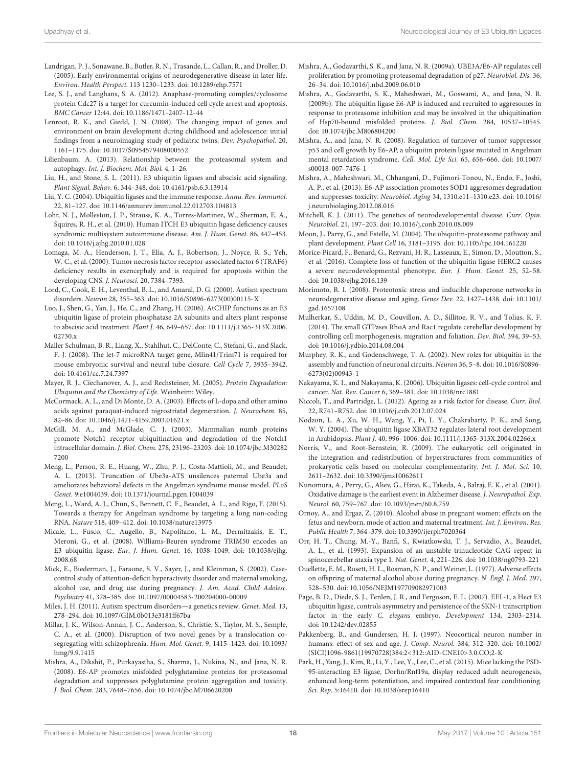- Landrigan, P. J., Sonawane, B., Butler, R. N., Trasande, L., Callan, R., and Droller, D. (2005). Early environmental origins of neurodegenerative disease in later life. Environ. Health Perspect. 113 1230–1233. doi: 10.1289/ehp.7571
- Lee, S. J., and Langhans, S. A. (2012). Anaphase-promoting complex/cyclosome protein Cdc27 is a target for curcumin-induced cell cycle arrest and apoptosis. BMC Cancer 12:44. doi: 10.1186/1471-2407-12-44
- Lenroot, R. K., and Giedd, J. N. (2008). The changing impact of genes and environment on brain development during childhood and adolescence: initial findings from a neuroimaging study of pediatric twins. Dev. Psychopathol. 20, 1161–1175. doi: 10.1017/S0954579408000552
- Lilienbaum, A. (2013). Relationship between the proteasomal system and autophagy. Int. J. Biochem. Mol. Biol. 4, 1–26.
- Liu, H., and Stone, S. L. (2011). E3 ubiquitin ligases and abscisic acid signaling. Plant Signal. Behav. 6, 344–348. doi: 10.4161/psb.6.3.13914
- Liu, Y. C. (2004). Ubiquitin ligases and the immune response. Annu. Rev. Immunol. 22, 81–127. doi: 10.1146/annurev.immunol.22.012703.104813
- Lohr, N. J., Molleston, J. P., Strauss, K. A., Torres-Martinez, W., Sherman, E. A., Squires, R. H., et al. (2010). Human ITCH E3 ubiquitin ligase deficiency causes syndromic multisystem autoimmune disease. Am. J. Hum. Genet. 86, 447–453. doi: 10.1016/j.ajhg.2010.01.028
- Lomaga, M. A., Henderson, J. T., Elia, A. J., Robertson, J., Noyce, R. S., Yeh, W. C., et al. (2000). Tumor necrosis factor receptor-associated factor 6 (TRAF6) deficiency results in exencephaly and is required for apoptosis within the developing CNS. J. Neurosci. 20, 7384–7393.
- Lord, C., Cook, E. H., Leventhal, B. L., and Amaral, D. G. (2000). Autism spectrum disorders. Neuron 28, 355–363. doi: 10.1016/S0896-6273(00)00115-X
- Luo, J., Shen, G., Yan, J., He, C., and Zhang, H. (2006). AtCHIP functions as an E3 ubiquitin ligase of protein phosphatase 2A subunits and alters plant response to abscisic acid treatment. Plant J. 46, 649–657. doi: 10.1111/j.1365-313X.2006. 02730.x
- Maller Schulman, B. R., Liang, X., Stahlhut, C., DelConte, C., Stefani, G., and Slack, F. J. (2008). The let-7 microRNA target gene, Mlin41/Trim71 is required for mouse embryonic survival and neural tube closure. Cell Cycle 7, 3935–3942. doi: 10.4161/cc.7.24.7397
- Mayer, R. J., Ciechanover, A. J., and Rechsteiner, M. (2005). Protein Degradation: Ubiquitin and the Chemistry of Life. Weinheim: Wiley.
- McCormack, A. L., and Di Monte, D. A. (2003). Effects of L-dopa and other amino acids against paraquat-induced nigrostriatal degeneration. J. Neurochem. 85, 82–86. doi: 10.1046/j.1471-4159.2003.01621.x
- McGill, M. A., and McGlade, C. J. (2003). Mammalian numb proteins promote Notch1 receptor ubiquitination and degradation of the Notch1 intracellular domain. J. Biol. Chem. 278, 23196–23203. doi: 10.1074/jbc.M30282 7200
- Meng, L., Person, R. E., Huang, W., Zhu, P. J., Costa-Mattioli, M., and Beaudet, A. L. (2013). Truncation of Ube3a-ATS unsilences paternal Ube3a and ameliorates behavioral defects in the Angelman syndrome mouse model. PLoS Genet. 9:e1004039. doi: 10.1371/journal.pgen.1004039
- Meng, L., Ward, A. J., Chun, S., Bennett, C. F., Beaudet, A. L., and Rigo, F. (2015). Towards a therapy for Angelman syndrome by targeting a long non-coding RNA. Nature 518, 409–412. doi: 10.1038/nature13975
- Micale, L., Fusco, C., Augello, B., Napolitano, L. M., Dermitzakis, E. T., Meroni, G., et al. (2008). Williams-Beuren syndrome TRIM50 encodes an E3 ubiquitin ligase. Eur. J. Hum. Genet. 16, 1038–1049. doi: 10.1038/ejhg. 2008.68
- Mick, E., Biederman, J., Faraone, S. V., Sayer, J., and Kleinman, S. (2002). Casecontrol study of attention-deficit hyperactivity disorder and maternal smoking, alcohol use, and drug use during pregnancy. J. Am. Acad. Child Adolesc. Psychiatry 41, 378–385. doi: 10.1097/00004583-200204000-00009
- Miles, J. H. (2011). Autism spectrum disorders—a genetics review. Genet. Med. 13, 278–294. doi: 10.1097/GIM.0b013e3181ff67ba
- Millar, J. K., Wilson-Annan, J. C., Anderson, S., Christie, S., Taylor, M. S., Semple, C. A., et al. (2000). Disruption of two novel genes by a translocation cosegregating with schizophrenia. Hum. Mol. Genet. 9, 1415–1423. doi: 10.1093/ hmg/9.9.1415
- Mishra, A., Dikshit, P., Purkayastha, S., Sharma, J., Nukina, N., and Jana, N. R. (2008). E6-AP promotes misfolded polyglutamine proteins for proteasomal degradation and suppresses polyglutamine protein aggregation and toxicity. J. Biol. Chem. 283, 7648–7656. doi: 10.1074/jbc.M706620200
- Mishra, A., Godavarthi, S. K., and Jana, N. R. (2009a). UBE3A/E6-AP regulates cell proliferation by promoting proteasomal degradation of p27. Neurobiol. Dis. 36, 26–34. doi: 10.1016/j.nbd.2009.06.010
- Mishra, A., Godavarthi, S. K., Maheshwari, M., Goswami, A., and Jana, N. R. (2009b). The ubiquitin ligase E6-AP is induced and recruited to aggresomes in response to proteasome inhibition and may be involved in the ubiquitination of Hsp70-bound misfolded proteins. J. Biol. Chem. 284, 10537–10545. doi: 10.1074/jbc.M806804200
- Mishra, A., and Jana, N. R. (2008). Regulation of turnover of tumor suppressor p53 and cell growth by E6-AP, a ubiquitin protein ligase mutated in Angelman mental retardation syndrome. Cell. Mol. Life Sci. 65, 656–666. doi: 10.1007/ s00018-007-7476-1
- Mishra, A., Maheshwari, M., Chhangani, D., Fujimori-Tonou, N., Endo, F., Joshi, A. P., et al. (2013). E6-AP association promotes SOD1 aggresomes degradation and suppresses toxicity. Neurobiol. Aging 34, 1310.e11–1310.e23. doi: 10.1016/ j.neurobiolaging.2012.08.016
- Mitchell, K. J. (2011). The genetics of neurodevelopmental disease. Curr. Opin. Neurobiol. 21, 197–203. doi: 10.1016/j.conb.2010.08.009
- Moon, J., Parry, G., and Estelle, M. (2004). The ubiquitin-proteasome pathway and plant development. Plant Cell 16, 3181–3195. doi: 10.1105/tpc.104.161220
- Morice-Picard, F., Benard, G., Rezvani, H. R., Lasseaux, E., Simon, D., Moutton, S., et al. (2016). Complete loss of function of the ubiquitin ligase HERC2 causes a severe neurodevelopmental phenotype. Eur. J. Hum. Genet. 25, 52–58. doi: 10.1038/ejhg.2016.139
- Morimoto, R. I. (2008). Proteotoxic stress and inducible chaperone networks in neurodegenerative disease and aging. Genes Dev. 22, 1427–1438. doi: 10.1101/ gad.1657108
- Mulherkar, S., Uddin, M. D., Couvillon, A. D., Sillitoe, R. V., and Tolias, K. F. (2014). The small GTPases RhoA and Rac1 regulate cerebellar development by controlling cell morphogenesis, migration and foliation. Dev. Biol. 394, 39–53. doi: 10.1016/j.ydbio.2014.08.004
- Murphey, R. K., and Godenschwege, T. A. (2002). New roles for ubiquitin in the assembly and function of neuronal circuits. Neuron 36, 5–8. doi: 10.1016/S0896- 6273(02)00943-1
- Nakayama, K. I., and Nakayama, K. (2006). Ubiquitin ligases: cell-cycle control and cancer. Nat. Rev. Cancer 6, 369–381. doi: 10.1038/nrc1881
- Niccoli, T., and Partridge, L. (2012). Ageing as a risk factor for disease. Curr. Biol. 22, R741–R752. doi: 10.1016/j.cub.2012.07.024
- Nodzon, L. A., Xu, W. H., Wang, Y., Pi, L. Y., Chakrabarty, P. K., and Song, W. Y. (2004). The ubiquitin ligase XBAT32 regulates lateral root development in Arabidopsis. Plant J. 40, 996–1006. doi: 10.1111/j.1365-313X.2004.02266.x
- Norris, V., and Root-Bernstein, R. (2009). The eukaryotic cell originated in the integration and redistribution of hyperstructures from communities of prokaryotic cells based on molecular complementarity. Int. J. Mol. Sci. 10, 2611–2632. doi: 10.3390/ijms10062611
- Nunomura, A., Perry, G., Aliev, G., Hirai, K., Takeda, A., Balraj, E. K., et al. (2001). Oxidative damage is the earliest event in Alzheimer disease. J. Neuropathol. Exp. Neurol. 60, 759–767. doi: 10.1093/jnen/60.8.759
- Ornoy, A., and Ergaz, Z. (2010). Alcohol abuse in pregnant women: effects on the fetus and newborn, mode of action and maternal treatment. Int. J. Environ. Res. Public Health 7, 364–379. doi: 10.3390/ijerph7020364
- Orr, H. T., Chung, M.-Y., Banfi, S., Kwiatkowski, T. J., Servadio, A., Beaudet, A. L., et al. (1993). Expansion of an unstable trinucleotide CAG repeat in spinocerebellar ataxia type 1. Nat. Genet. 4, 221–226. doi: 10.1038/ng0793-221
- Ouellette, E. M., Rosett, H. L., Rosman, N. P., and Weiner, L. (1977). Adverse effects on offspring of maternal alcohol abuse during pregnancy. N. Engl. J. Med. 297, 528–530. doi: 10.1056/NEJM197709082971003
- Page, B. D., Diede, S. J., Tenlen, J. R., and Ferguson, E. L. (2007). EEL-1, a Hect E3 ubiquitin ligase, controls asymmetry and persistence of the SKN-1 transcription factor in the early C. elegans embryo. Development 134, 2303–2314. doi: 10.1242/dev.02855
- Pakkenberg, B., and Gundersen, H. J. (1997). Neocortical neuron number in humans: effect of sex and age. J. Comp. Neurol. 384, 312–320. doi: 10.1002/ (SICI)1096-9861(19970728)384:2<312::AID-CNE10>3.0.CO;2-K
- Park, H., Yang, J., Kim, R., Li, Y., Lee, Y., Lee, C., et al. (2015). Mice lacking the PSD-95-interacting E3 ligase, Dorfin/Rnf19a, display reduced adult neurogenesis, enhanced long-term potentiation, and impaired contextual fear conditioning. Sci. Rep. 5:16410. doi: 10.1038/srep16410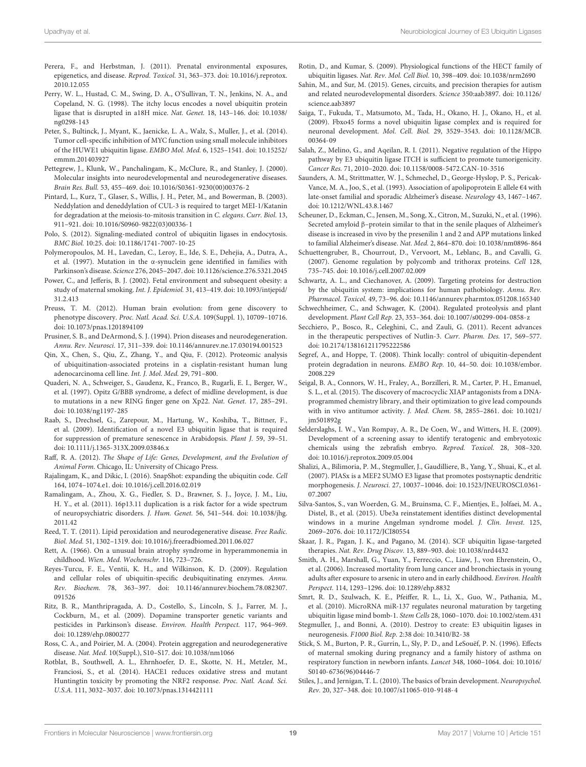- Perera, F., and Herbstman, J. (2011). Prenatal environmental exposures, epigenetics, and disease. Reprod. Toxicol. 31, 363-373. doi: 10.1016/j.reprotox. 2010.12.055
- Perry, W. L., Hustad, C. M., Swing, D. A., O'Sullivan, T. N., Jenkins, N. A., and Copeland, N. G. (1998). The itchy locus encodes a novel ubiquitin protein ligase that is disrupted in a18H mice. Nat. Genet. 18, 143–146. doi: 10.1038/ ng0298-143
- Peter, S., Bultinck, J., Myant, K., Jaenicke, L. A., Walz, S., Muller, J., et al. (2014). Tumor cell-specific inhibition of MYC function using small molecule inhibitors of the HUWE1 ubiquitin ligase. EMBO Mol. Med. 6, 1525–1541. doi: 10.15252/ emmm.201403927
- Pettegrew, J., Klunk, W., Panchalingam, K., McClure, R., and Stanley, J. (2000). Molecular insights into neurodevelopmental and neurodegenerative diseases. Brain Res. Bull. 53, 455–469. doi: 10.1016/S0361-9230(00)00376-2
- Pintard, L., Kurz, T., Glaser, S., Willis, J. H., Peter, M., and Bowerman, B. (2003). Neddylation and deneddylation of CUL-3 is required to target MEI-1/Katanin for degradation at the meiosis-to-mitosis transition in C. elegans. Curr. Biol. 13, 911–921. doi: 10.1016/S0960-9822(03)00336-1
- Polo, S. (2012). Signaling-mediated control of ubiquitin ligases in endocytosis. BMC Biol. 10:25. doi: 10.1186/1741-7007-10-25
- Polymeropoulos, M. H., Lavedan, C., Leroy, E., Ide, S. E., Dehejia, A., Dutra, A., et al. (1997). Mutation in the α-synuclein gene identified in families with Parkinson's disease. Science 276, 2045–2047. doi: 10.1126/science.276.5321.2045
- Power, C., and Jefferis, B. J. (2002). Fetal environment and subsequent obesity: a study of maternal smoking. Int. J. Epidemiol. 31, 413–419. doi: 10.1093/intjepid/ 31.2.413
- Preuss, T. M. (2012). Human brain evolution: from gene discovery to phenotype discovery. Proc. Natl. Acad. Sci. U.S.A. 109(Suppl. 1), 10709–10716. doi: 10.1073/pnas.1201894109
- Prusiner, S. B., and DeArmond, S. J. (1994). Prion diseases and neurodegeneration. Annu. Rev. Neurosci. 17, 311–339. doi: 10.1146/annurev.ne.17.030194.001523
- Qin, X., Chen, S., Qiu, Z., Zhang, Y., and Qiu, F. (2012). Proteomic analysis of ubiquitination-associated proteins in a cisplatin-resistant human lung adenocarcinoma cell line. Int. J. Mol. Med. 29, 791–800.
- Quaderi, N. A., Schweiger, S., Gaudenz, K., Franco, B., Rugarli, E. I., Berger, W., et al. (1997). Opitz G/BBB syndrome, a defect of midline development, is due to mutations in a new RING finger gene on Xp22. Nat. Genet. 17, 285–291. doi: 10.1038/ng1197-285
- Raab, S., Drechsel, G., Zarepour, M., Hartung, W., Koshiba, T., Bittner, F., et al. (2009). Identification of a novel E3 ubiquitin ligase that is required for suppression of premature senescence in Arabidopsis. Plant J. 59, 39–51. doi: 10.1111/j.1365-313X.2009.03846.x
- Raff, R. A. (2012). The Shape of Life: Genes, Development, and the Evolution of Animal Form. Chicago, IL: University of Chicago Press.
- Rajalingam, K., and Dikic, I. (2016). SnapShot: expanding the ubiquitin code. Cell 164, 1074–1074.e1. doi: 10.1016/j.cell.2016.02.019
- Ramalingam, A., Zhou, X. G., Fiedler, S. D., Brawner, S. J., Joyce, J. M., Liu, H. Y., et al. (2011). 16p13.11 duplication is a risk factor for a wide spectrum of neuropsychiatric disorders. J. Hum. Genet. 56, 541–544. doi: 10.1038/jhg. 2011.42
- Reed, T. T. (2011). Lipid peroxidation and neurodegenerative disease. Free Radic. Biol. Med. 51, 1302–1319. doi: 10.1016/j.freeradbiomed.2011.06.027
- Rett, A. (1966). On a unusual brain atrophy syndrome in hyperammonemia in childhood. Wien. Med. Wochenschr. 116, 723–726.
- Reyes-Turcu, F. E., Ventii, K. H., and Wilkinson, K. D. (2009). Regulation and cellular roles of ubiquitin-specific deubiquitinating enzymes. Annu. Rev. Biochem. 78, 363–397. doi: 10.1146/annurev.biochem.78.082307. 091526
- Ritz, B. R., Manthripragada, A. D., Costello, S., Lincoln, S. J., Farrer, M. J., Cockburn, M., et al. (2009). Dopamine transporter genetic variants and pesticides in Parkinson's disease. Environ. Health Perspect. 117, 964–969. doi: 10.1289/ehp.0800277
- Ross, C. A., and Poirier, M. A. (2004). Protein aggregation and neurodegenerative disease. Nat. Med. 10(Suppl.), S10–S17. doi: 10.1038/nm1066
- Rotblat, B., Southwell, A. L., Ehrnhoefer, D. E., Skotte, N. H., Metzler, M., Franciosi, S., et al. (2014). HACE1 reduces oxidative stress and mutant Huntingtin toxicity by promoting the NRF2 response. Proc. Natl. Acad. Sci. U.S.A. 111, 3032–3037. doi: 10.1073/pnas.1314421111
- Rotin, D., and Kumar, S. (2009). Physiological functions of the HECT family of ubiquitin ligases. Nat. Rev. Mol. Cell Biol. 10, 398–409. doi: 10.1038/nrm2690
- Sahin, M., and Sur, M. (2015). Genes, circuits, and precision therapies for autism and related neurodevelopmental disorders. Science 350:aab3897. doi: 10.1126/ science.aab3897
- Saiga, T., Fukuda, T., Matsumoto, M., Tada, H., Okano, H. J., Okano, H., et al. (2009). Fbxo45 forms a novel ubiquitin ligase complex and is required for neuronal development. Mol. Cell. Biol. 29, 3529–3543. doi: 10.1128/MCB. 00364-09
- Salah, Z., Melino, G., and Aqeilan, R. I. (2011). Negative regulation of the Hippo pathway by E3 ubiquitin ligase ITCH is sufficient to promote tumorigenicity. Cancer Res. 71, 2010–2020. doi: 10.1158/0008-5472.CAN-10-3516
- Saunders, A. M., Strittmatter, W. J., Schmechel, D., George-Hyslop, P. S., Pericak-Vance, M. A., Joo, S., et al. (1993). Association of apolipoprotein E allele €4 with late-onset familial and sporadic Alzheimer's disease. Neurology 43, 1467–1467. doi: 10.1212/WNL.43.8.1467
- Scheuner, D., Eckman, C., Jensen, M., Song, X., Citron, M., Suzuki, N., et al. (1996). Secreted amyloid β–protein similar to that in the senile plaques of Alzheimer's disease is increased in vivo by the presenilin 1 and 2 and APP mutations linked to familial Alzheimer's disease. Nat. Med. 2, 864–870. doi: 10.1038/nm0896-864
- Schuettengruber, B., Chourrout, D., Vervoort, M., Leblanc, B., and Cavalli, G. (2007). Genome regulation by polycomb and trithorax proteins. Cell 128, 735–745. doi: 10.1016/j.cell.2007.02.009
- Schwartz, A. L., and Ciechanover, A. (2009). Targeting proteins for destruction by the ubiquitin system: implications for human pathobiology. Annu. Rev. Pharmacol. Toxicol. 49, 73–96. doi: 10.1146/annurev.pharmtox.051208.165340
- Schwechheimer, C., and Schwager, K. (2004). Regulated proteolysis and plant development. Plant Cell Rep. 23, 353–364. doi: 10.1007/s00299-004-0858-z
- Secchiero, P., Bosco, R., Celeghini, C., and Zauli, G. (2011). Recent advances in the therapeutic perspectives of Nutlin-3. Curr. Pharm. Des. 17, 569–577. doi: 10.2174/138161211795222586
- Segref, A., and Hoppe, T. (2008). Think locally: control of ubiquitin-dependent protein degradation in neurons. EMBO Rep. 10, 44–50. doi: 10.1038/embor. 2008.229
- Seigal, B. A., Connors, W. H., Fraley, A., Borzilleri, R. M., Carter, P. H., Emanuel, S. L., et al. (2015). The discovery of macrocyclic XIAP antagonists from a DNAprogrammed chemistry library, and their optimization to give lead compounds with in vivo antitumor activity. J. Med. Chem. 58, 2855–2861. doi: 10.1021/ jm501892g
- Selderslaghs, I. W., Van Rompay, A. R., De Coen, W., and Witters, H. E. (2009). Development of a screening assay to identify teratogenic and embryotoxic chemicals using the zebrafish embryo. Reprod. Toxicol. 28, 308–320. doi: 10.1016/j.reprotox.2009.05.004
- Shalizi, A., Bilimoria, P. M., Stegmuller, J., Gaudilliere, B., Yang, Y., Shuai, K., et al. (2007). PIASx is a MEF2 SUMO E3 ligase that promotes postsynaptic dendritic morphogenesis. J. Neurosci. 27, 10037–10046. doi: 10.1523/JNEUROSCI.0361- 07.2007
- Silva-Santos, S., van Woerden, G. M., Bruinsma, C. F., Mientjes, E., Jolfaei, M. A., Distel, B., et al. (2015). Ube3a reinstatement identifies distinct developmental windows in a murine Angelman syndrome model. J. Clin. Invest. 125, 2069–2076. doi: 10.1172/JCI80554
- Skaar, J. R., Pagan, J. K., and Pagano, M. (2014). SCF ubiquitin ligase-targeted therapies. Nat. Rev. Drug Discov. 13, 889–903. doi: 10.1038/nrd4432
- Smith, A. H., Marshall, G., Yuan, Y., Ferreccio, C., Liaw, J., von Ehrenstein, O., et al. (2006). Increased mortality from lung cancer and bronchiectasis in young adults after exposure to arsenic in utero and in early childhood. Environ. Health Perspect. 114, 1293–1296. doi: 10.1289/ehp.8832
- Smrt, R. D., Szulwach, K. E., Pfeiffer, R. L., Li, X., Guo, W., Pathania, M., et al. (2010). MicroRNA miR-137 regulates neuronal maturation by targeting ubiquitin ligase mind bomb-1. Stem Cells 28, 1060–1070. doi: 10.1002/stem.431
- Stegmuller, J., and Bonni, A. (2010). Destroy to create: E3 ubiquitin ligases in neurogenesis. F1000 Biol. Rep. 2:38 doi: 10.3410/B2-38
- Stick, S. M., Burton, P. R., Gurrin, L., Sly, P. D., and LeSouëf, P. N. (1996). Effects of maternal smoking during pregnancy and a family history of asthma on respiratory function in newborn infants. Lancet 348, 1060–1064. doi: 10.1016/ S0140-6736(96)04446-7
- Stiles, J., and Jernigan, T. L. (2010). The basics of brain development. Neuropsychol. Rev. 20, 327–348. doi: 10.1007/s11065-010-9148-4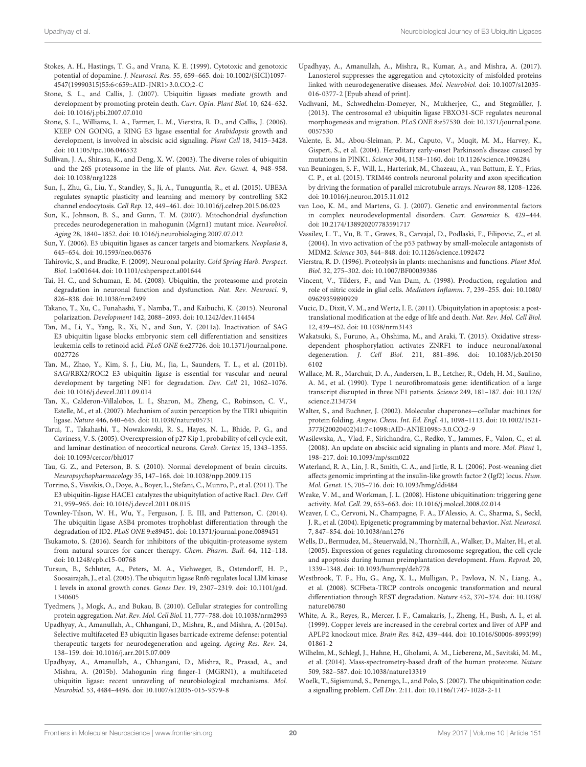- Stokes, A. H., Hastings, T. G., and Vrana, K. E. (1999). Cytotoxic and genotoxic potential of dopamine. J. Neurosci. Res. 55, 659–665. doi: 10.1002/(SICI)1097- 4547(19990315)55:6<659::AID-JNR1>3.0.CO;2-C
- Stone, S. L., and Callis, J. (2007). Ubiquitin ligases mediate growth and development by promoting protein death. Curr. Opin. Plant Biol. 10, 624–632. doi: 10.1016/j.pbi.2007.07.010
- Stone, S. L., Williams, L. A., Farmer, L. M., Vierstra, R. D., and Callis, J. (2006). KEEP ON GOING, a RING E3 ligase essential for Arabidopsis growth and development, is involved in abscisic acid signaling. Plant Cell 18, 3415–3428. doi: 10.1105/tpc.106.046532
- Sullivan, J. A., Shirasu, K., and Deng, X. W. (2003). The diverse roles of ubiquitin and the 26S proteasome in the life of plants. Nat. Rev. Genet. 4, 948–958. doi: 10.1038/nrg1228
- Sun, J., Zhu, G., Liu, Y., Standley, S., Ji, A., Tunuguntla, R., et al. (2015). UBE3A regulates synaptic plasticity and learning and memory by controlling SK2 channel endocytosis. Cell Rep. 12, 449–461. doi: 10.1016/j.celrep.2015.06.023
- Sun, K., Johnson, B. S., and Gunn, T. M. (2007). Mitochondrial dysfunction precedes neurodegeneration in mahogunin (Mgrn1) mutant mice. Neurobiol. Aging 28, 1840–1852. doi: 10.1016/j.neurobiolaging.2007.07.012
- Sun, Y. (2006). E3 ubiquitin ligases as cancer targets and biomarkers. Neoplasia 8, 645–654. doi: 10.1593/neo.06376
- Tahirovic, S., and Bradke, F. (2009). Neuronal polarity. Cold Spring Harb. Perspect. Biol. 1:a001644. doi: 10.1101/cshperspect.a001644
- Tai, H. C., and Schuman, E. M. (2008). Ubiquitin, the proteasome and protein degradation in neuronal function and dysfunction. Nat. Rev. Neurosci. 9, 826–838. doi: 10.1038/nrn2499
- Takano, T., Xu, C., Funahashi, Y., Namba, T., and Kaibuchi, K. (2015). Neuronal polarization. Development 142, 2088–2093. doi: 10.1242/dev.114454
- Tan, M., Li, Y., Yang, R., Xi, N., and Sun, Y. (2011a). Inactivation of SAG E3 ubiquitin ligase blocks embryonic stem cell differentiation and sensitizes leukemia cells to retinoid acid. PLoS ONE 6:e27726. doi: 10.1371/journal.pone. 0027726
- Tan, M., Zhao, Y., Kim, S. J., Liu, M., Jia, L., Saunders, T. L., et al. (2011b). SAG/RBX2/ROC2 E3 ubiquitin ligase is essential for vascular and neural development by targeting NF1 for degradation. Dev. Cell 21, 1062–1076. doi: 10.1016/j.devcel.2011.09.014
- Tan, X., Calderon-Villalobos, L. I., Sharon, M., Zheng, C., Robinson, C. V., Estelle, M., et al. (2007). Mechanism of auxin perception by the TIR1 ubiquitin ligase. Nature 446, 640–645. doi: 10.1038/nature05731
- Tarui, T., Takahashi, T., Nowakowski, R. S., Hayes, N. L., Bhide, P. G., and Caviness, V. S. (2005). Overexpression of p27 Kip 1, probability of cell cycle exit, and laminar destination of neocortical neurons. Cereb. Cortex 15, 1343–1355. doi: 10.1093/cercor/bhi017
- Tau, G. Z., and Peterson, B. S. (2010). Normal development of brain circuits. Neuropsychopharmacology 35, 147–168. doi: 10.1038/npp.2009.115
- Torrino, S., Visvikis, O., Doye, A., Boyer, L., Stefani, C., Munro, P., et al. (2011). The E3 ubiquitin-ligase HACE1 catalyzes the ubiquitylation of active Rac1. Dev. Cell 21, 959–965. doi: 10.1016/j.devcel.2011.08.015
- Townley-Tilson, W. H., Wu, Y., Ferguson, J. E. III, and Patterson, C. (2014). The ubiquitin ligase ASB4 promotes trophoblast differentiation through the degradation of ID2. PLoS ONE 9:e89451. doi: 10.1371/journal.pone.0089451
- Tsukamoto, S. (2016). Search for inhibitors of the ubiquitin-proteasome system from natural sources for cancer therapy. Chem. Pharm. Bull. 64, 112–118. doi: 10.1248/cpb.c15-00768
- Tursun, B., Schluter, A., Peters, M. A., Viehweger, B., Ostendorff, H. P., Soosairajah, J., et al. (2005). The ubiquitin ligase Rnf6 regulates local LIM kinase 1 levels in axonal growth cones. Genes Dev. 19, 2307–2319. doi: 10.1101/gad. 1340605
- Tyedmers, J., Mogk, A., and Bukau, B. (2010). Cellular strategies for controlling protein aggregation. Nat. Rev. Mol. Cell Biol. 11, 777–788. doi: 10.1038/nrm2993
- Upadhyay, A., Amanullah, A., Chhangani, D., Mishra, R., and Mishra, A. (2015a). Selective multifaceted E3 ubiquitin ligases barricade extreme defense: potential therapeutic targets for neurodegeneration and ageing. Ageing Res. Rev. 24, 138–159. doi: 10.1016/j.arr.2015.07.009
- Upadhyay, A., Amanullah, A., Chhangani, D., Mishra, R., Prasad, A., and Mishra, A. (2015b). Mahogunin ring finger-1 (MGRN1), a multifaceted ubiquitin ligase: recent unraveling of neurobiological mechanisms. Mol. Neurobiol. 53, 4484–4496. doi: 10.1007/s12035-015-9379-8
- Upadhyay, A., Amanullah, A., Mishra, R., Kumar, A., and Mishra, A. (2017). Lanosterol suppresses the aggregation and cytotoxicity of misfolded proteins linked with neurodegenerative diseases. Mol. Neurobiol. doi: 10.1007/s12035- 016-0377-2 [Epub ahead of print].
- Vadhvani, M., Schwedhelm-Domeyer, N., Mukherjee, C., and Stegmüller, J. (2013). The centrosomal e3 ubiquitin ligase FBXO31-SCF regulates neuronal morphogenesis and migration. PLoS ONE 8:e57530. doi: 10.1371/journal.pone. 0057530
- Valente, E. M., Abou-Sleiman, P. M., Caputo, V., Muqit, M. M., Harvey, K., Gispert, S., et al. (2004). Hereditary early-onset Parkinson's disease caused by mutations in PINK1. Science 304, 1158–1160. doi: 10.1126/science.1096284
- van Beuningen, S. F., Will, L., Harterink, M., Chazeau, A., van Battum, E. Y., Frias, C. P., et al. (2015). TRIM46 controls neuronal polarity and axon specification by driving the formation of parallel microtubule arrays. Neuron 88, 1208–1226. doi: 10.1016/j.neuron.2015.11.012
- van Loo, K. M., and Martens, G. J. (2007). Genetic and environmental factors in complex neurodevelopmental disorders. Curr. Genomics 8, 429–444. doi: 10.2174/138920207783591717
- Vassilev, L. T., Vu, B. T., Graves, B., Carvajal, D., Podlaski, F., Filipovic, Z., et al. (2004). In vivo activation of the p53 pathway by small-molecule antagonists of MDM2. Science 303, 844–848. doi: 10.1126/science.1092472
- Vierstra, R. D. (1996). Proteolysis in plants: mechanisms and functions. Plant Mol. Biol. 32, 275–302. doi: 10.1007/BF00039386
- Vincent, V., Tilders, F., and Van Dam, A. (1998). Production, regulation and role of nitric oxide in glial cells. Mediators Inflamm. 7, 239–255. doi: 10.1080/ 09629359890929
- Vucic, D., Dixit, V. M., and Wertz, I. E. (2011). Ubiquitylation in apoptosis: a posttranslational modification at the edge of life and death. Nat. Rev. Mol. Cell Biol. 12, 439–452. doi: 10.1038/nrm3143
- Wakatsuki, S., Furuno, A., Ohshima, M., and Araki, T. (2015). Oxidative stressdependent phosphorylation activates ZNRF1 to induce neuronal/axonal degeneration. J. Cell Biol. 211, 881–896. doi: 10.1083/jcb.20150 6102
- Wallace, M. R., Marchuk, D. A., Andersen, L. B., Letcher, R., Odeh, H. M., Saulino, A. M., et al. (1990). Type 1 neurofibromatosis gene: identification of a large transcript disrupted in three NF1 patients. Science 249, 181–187. doi: 10.1126/ science.2134734
- Walter, S., and Buchner, J. (2002). Molecular chaperones—cellular machines for protein folding. Angew. Chem. Int. Ed. Engl. 41, 1098–1113. doi: 10.1002/1521- 3773(20020402)41:7<1098::AID-ANIE1098>3.0.CO;2-9
- Wasilewska, A., Vlad, F., Sirichandra, C., Redko, Y., Jammes, F., Valon, C., et al. (2008). An update on abscisic acid signaling in plants and more. Mol. Plant 1, 198–217. doi: 10.1093/mp/ssm022
- Waterland, R. A., Lin, J. R., Smith, C. A., and Jirtle, R. L. (2006). Post-weaning diet affects genomic imprinting at the insulin-like growth factor 2 (Igf2) locus. Hum. Mol. Genet. 15, 705–716. doi: 10.1093/hmg/ddi484
- Weake, V. M., and Workman, J. L. (2008). Histone ubiquitination: triggering gene activity. Mol. Cell. 29, 653–663. doi: 10.1016/j.molcel.2008.02.014
- Weaver, I. C., Cervoni, N., Champagne, F. A., D'Alessio, A. C., Sharma, S., Seckl, J. R., et al. (2004). Epigenetic programming by maternal behavior. Nat. Neurosci. 7, 847–854. doi: 10.1038/nn1276
- Wells, D., Bermudez, M., Steuerwald, N., Thornhill, A., Walker, D., Malter, H., et al. (2005). Expression of genes regulating chromosome segregation, the cell cycle and apoptosis during human preimplantation development. Hum. Reprod. 20, 1339–1348. doi: 10.1093/humrep/deh778
- Westbrook, T. F., Hu, G., Ang, X. L., Mulligan, P., Pavlova, N. N., Liang, A., et al. (2008). SCFbeta-TRCP controls oncogenic transformation and neural differentiation through REST degradation. Nature 452, 370–374. doi: 10.1038/ nature06780
- White, A. R., Reyes, R., Mercer, J. F., Camakaris, J., Zheng, H., Bush, A. I., et al. (1999). Copper levels are increased in the cerebral cortex and liver of APP and APLP2 knockout mice. Brain Res. 842, 439–444. doi: 10.1016/S0006-8993(99) 01861-2
- Wilhelm, M., Schlegl, J., Hahne, H., Gholami, A. M., Lieberenz, M., Savitski, M. M., et al. (2014). Mass-spectrometry-based draft of the human proteome. Nature 509, 582–587. doi: 10.1038/nature13319
- Woelk, T., Sigismund, S., Penengo, L., and Polo, S. (2007). The ubiquitination code: a signalling problem. Cell Div. 2:11. doi: 10.1186/1747-1028-2-11